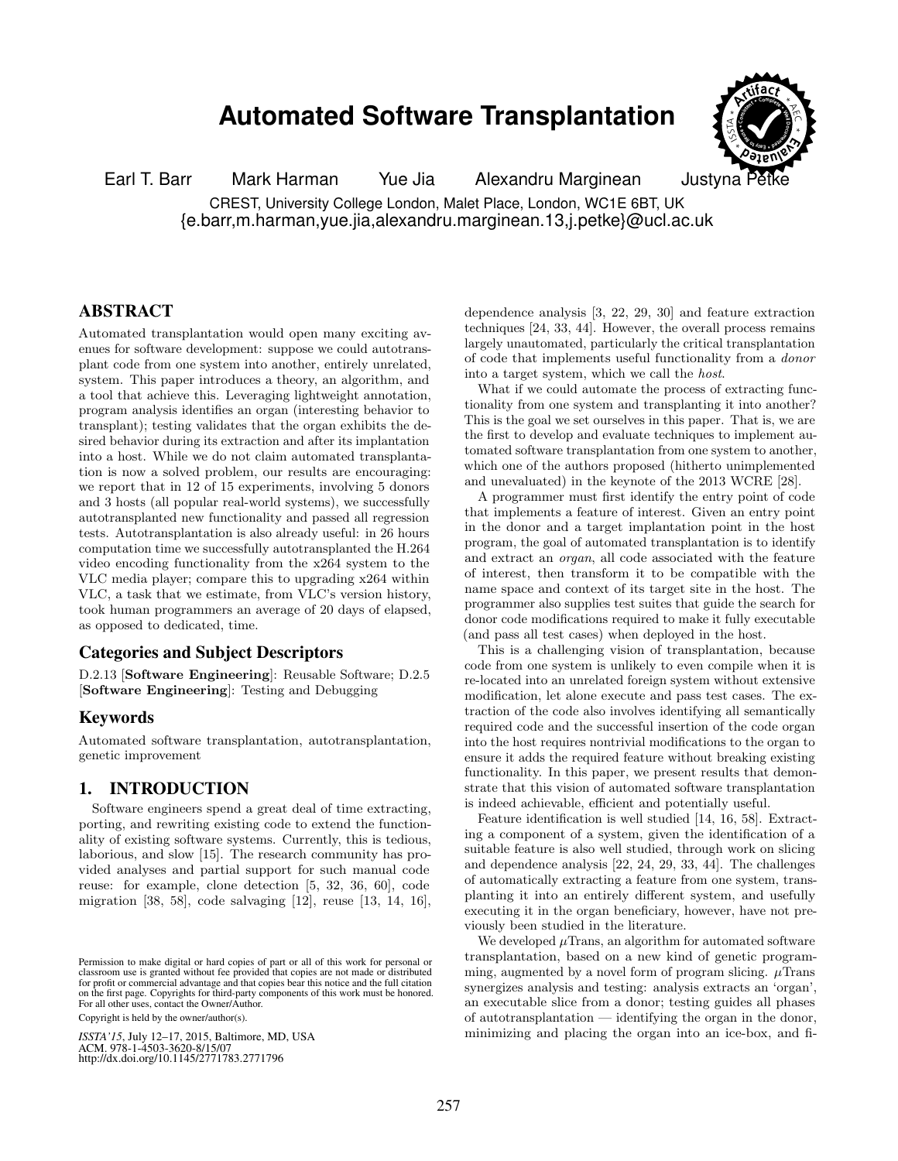# **Automated Software Transplantation**



Earl T. Barr Mark Harman Yue Jia Alexandru Marginean Justyna F CREST, University College London, Malet Place, London, WC1E 6BT, UK {e.barr,m.harman,yue.jia,alexandru.marginean.13,j.petke}@ucl.ac.uk

## ABSTRACT

Automated transplantation would open many exciting avenues for software development: suppose we could autotransplant code from one system into another, entirely unrelated, system. This paper introduces a theory, an algorithm, and a tool that achieve this. Leveraging lightweight annotation, program analysis identifies an organ (interesting behavior to transplant); testing validates that the organ exhibits the desired behavior during its extraction and after its implantation into a host. While we do not claim automated transplantation is now a solved problem, our results are encouraging: we report that in 12 of 15 experiments, involving 5 donors and 3 hosts (all popular real-world systems), we successfully autotransplanted new functionality and passed all regression tests. Autotransplantation is also already useful: in 26 hours computation time we successfully autotransplanted the H.264 video encoding functionality from the x264 system to the VLC media player; compare this to upgrading x264 within VLC, a task that we estimate, from VLC's version history, took human programmers an average of 20 days of elapsed, as opposed to dedicated, time.

## Categories and Subject Descriptors

D.2.13 [Software Engineering]: Reusable Software; D.2.5 [Software Engineering]: Testing and Debugging

#### Keywords

Automated software transplantation, autotransplantation, genetic improvement

## 1. INTRODUCTION

Software engineers spend a great deal of time extracting, porting, and rewriting existing code to extend the functionality of existing software systems. Currently, this is tedious, laborious, and slow [\[15\]](#page-10-0). The research community has provided analyses and partial support for such manual code reuse: for example, clone detection [\[5,](#page-10-1) [32,](#page-11-0) [36,](#page-11-1) [60\]](#page-12-0), code migration [\[38,](#page-11-2) [58\]](#page-12-1), code salvaging [\[12\]](#page-10-2), reuse [\[13,](#page-10-3) [14,](#page-10-4) [16\]](#page-10-5),

Copyright is held by the owner/author(s).

*ISSTA'15* , July 12–17, 2015, Baltimore, MD, USA *ISSTA'15*, July 12–17, 2015, Baltimore, MD, USA ACM. 978-1-4503-3620-8/15/07<br>http://dx.doi.org/10.1145/2771783.2771796 ACM. 978-1-4503-3620-8/15/07

dependence analysis [\[3,](#page-10-6) [22,](#page-10-7) [29,](#page-11-3) [30\]](#page-11-4) and feature extraction techniques [\[24,](#page-10-8) [33,](#page-11-5) [44\]](#page-11-6). However, the overall process remains largely unautomated, particularly the critical transplantation of code that implements useful functionality from a donor into a target system, which we call the host.

What if we could automate the process of extracting functionality from one system and transplanting it into another? This is the goal we set ourselves in this paper. That is, we are the first to develop and evaluate techniques to implement automated software transplantation from one system to another, which one of the authors proposed (hitherto unimplemented and unevaluated) in the keynote of the 2013 WCRE [\[28\]](#page-11-7).

A programmer must first identify the entry point of code that implements a feature of interest. Given an entry point in the donor and a target implantation point in the host program, the goal of automated transplantation is to identify and extract an organ, all code associated with the feature of interest, then transform it to be compatible with the name space and context of its target site in the host. The programmer also supplies test suites that guide the search for donor code modifications required to make it fully executable (and pass all test cases) when deployed in the host.

This is a challenging vision of transplantation, because code from one system is unlikely to even compile when it is re-located into an unrelated foreign system without extensive modification, let alone execute and pass test cases. The extraction of the code also involves identifying all semantically required code and the successful insertion of the code organ into the host requires nontrivial modifications to the organ to ensure it adds the required feature without breaking existing functionality. In this paper, we present results that demonstrate that this vision of automated software transplantation is indeed achievable, efficient and potentially useful.

Feature identification is well studied [\[14,](#page-10-4) [16,](#page-10-5) [58\]](#page-12-1). Extracting a component of a system, given the identification of a suitable feature is also well studied, through work on slicing and dependence analysis [\[22,](#page-10-7) [24,](#page-10-8) [29,](#page-11-3) [33,](#page-11-5) [44\]](#page-11-6). The challenges of automatically extracting a feature from one system, transplanting it into an entirely different system, and usefully executing it in the organ beneficiary, however, have not previously been studied in the literature.

We developed  $\mu$ Trans, an algorithm for automated software transplantation, based on a new kind of genetic programming, augmented by a novel form of program slicing.  $\mu$ Trans synergizes analysis and testing: analysis extracts an 'organ', an executable slice from a donor; testing guides all phases of autotransplantation — identifying the organ in the donor, minimizing and placing the organ into an ice-box, and fi-

Permission to make digital or hard copies of part or all of this work for personal or classroom use is granted without fee provided that copies are not made or distributed for profit or commercial advantage and that copies bear this notice and the full citation on the first page. Copyrights for third-party components of this work must be honored.<br>For all other uses, contact the Quyner/Author  $r_{\text{c}}$  or an other above, contact the  $\sigma$  when radio  $r_{\text{c}}$ classroom use is granted without fee provided that copies are not made or distributed for profit or commercial advantage and that copies bear this notice and the full citation For all other uses, contact the Owner/Author.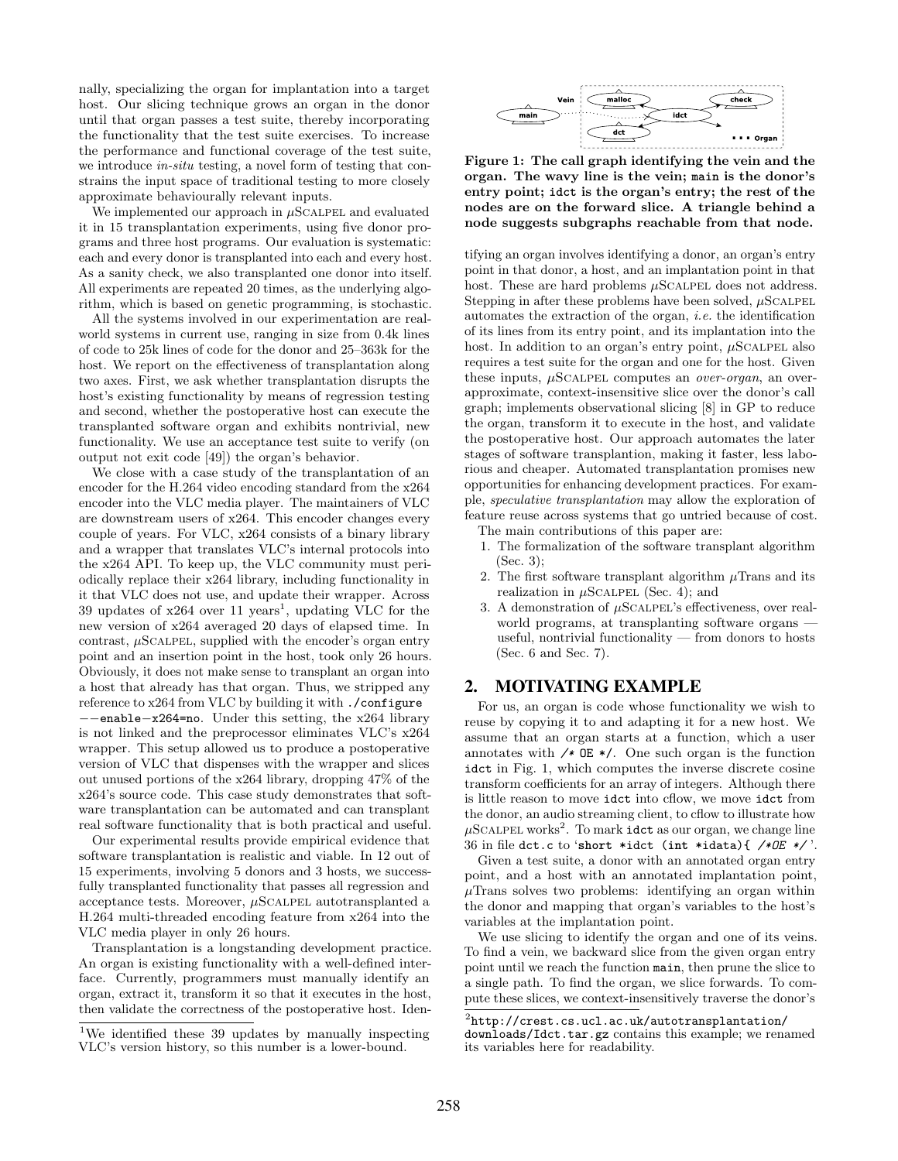nally, specializing the organ for implantation into a target host. Our slicing technique grows an organ in the donor until that organ passes a test suite, thereby incorporating the functionality that the test suite exercises. To increase the performance and functional coverage of the test suite, we introduce *in-situ* testing, a novel form of testing that constrains the input space of traditional testing to more closely approximate behaviourally relevant inputs.

We implemented our approach in  $\mu$ SCALPEL and evaluated it in 15 transplantation experiments, using five donor programs and three host programs. Our evaluation is systematic: each and every donor is transplanted into each and every host. As a sanity check, we also transplanted one donor into itself. All experiments are repeated 20 times, as the underlying algorithm, which is based on genetic programming, is stochastic.

All the systems involved in our experimentation are realworld systems in current use, ranging in size from 0.4k lines of code to 25k lines of code for the donor and 25–363k for the host. We report on the effectiveness of transplantation along two axes. First, we ask whether transplantation disrupts the host's existing functionality by means of regression testing and second, whether the postoperative host can execute the transplanted software organ and exhibits nontrivial, new functionality. We use an acceptance test suite to verify (on output not exit code [\[49\]](#page-11-8)) the organ's behavior.

We close with a case study of the transplantation of an encoder for the H.264 video encoding standard from the x264 encoder into the VLC media player. The maintainers of VLC are downstream users of x264. This encoder changes every couple of years. For VLC, x264 consists of a binary library and a wrapper that translates VLC's internal protocols into the x264 API. To keep up, the VLC community must periodically replace their x264 library, including functionality in it that VLC does not use, and update their wrapper. Across 39 updates of  $x264$  over [1](#page-1-0)1 years<sup>1</sup>, updating VLC for the new version of x264 averaged 20 days of elapsed time. In contrast,  $\mu$ SCALPEL, supplied with the encoder's organ entry point and an insertion point in the host, took only 26 hours. Obviously, it does not make sense to transplant an organ into a host that already has that organ. Thus, we stripped any reference to x264 from VLC by building it with ./configure −−enable−x264=no. Under this setting, the x264 library is not linked and the preprocessor eliminates VLC's x264 wrapper. This setup allowed us to produce a postoperative version of VLC that dispenses with the wrapper and slices out unused portions of the x264 library, dropping 47% of the x264's source code. This case study demonstrates that software transplantation can be automated and can transplant real software functionality that is both practical and useful.

Our experimental results provide empirical evidence that software transplantation is realistic and viable. In 12 out of 15 experiments, involving 5 donors and 3 hosts, we successfully transplanted functionality that passes all regression and acceptance tests. Moreover,  $\mu$ SCALPEL autotransplanted a H.264 multi-threaded encoding feature from x264 into the VLC media player in only 26 hours.

Transplantation is a longstanding development practice. An organ is existing functionality with a well-defined interface. Currently, programmers must manually identify an organ, extract it, transform it so that it executes in the host, then validate the correctness of the postoperative host. Iden-

<span id="page-1-1"></span>

Figure 1: The call graph identifying the vein and the organ. The wavy line is the vein; **main** is the donor's entry point; **idct** is the organ's entry; the rest of the nodes are on the forward slice. A triangle behind a node suggests subgraphs reachable from that node.

tifying an organ involves identifying a donor, an organ's entry point in that donor, a host, and an implantation point in that host. These are hard problems  $\mu$ SCALPEL does not address. Stepping in after these problems have been solved,  $\mu$ SCALPEL automates the extraction of the organ, i.e. the identification of its lines from its entry point, and its implantation into the host. In addition to an organ's entry point,  $\mu$ SCALPEL also requires a test suite for the organ and one for the host. Given these inputs,  $\mu$ SCALPEL computes an *over-organ*, an overapproximate, context-insensitive slice over the donor's call graph; implements observational slicing [\[8\]](#page-10-9) in GP to reduce the organ, transform it to execute in the host, and validate the postoperative host. Our approach automates the later stages of software transplantion, making it faster, less laborious and cheaper. Automated transplantation promises new opportunities for enhancing development practices. For example, speculative transplantation may allow the exploration of feature reuse across systems that go untried because of cost.

The main contributions of this paper are:

- 1. The formalization of the software transplant algorithm [\(Sec. 3\)](#page-2-0);
- 2. The first software transplant algorithm  $\mu$ Trans and its realization in  $\mu$ SCALPEL [\(Sec. 4\)](#page-2-1); and
- 3. A demonstration of  $\mu$ SCALPEL's effectiveness, over realworld programs, at transplanting software organs useful, nontrivial functionality — from donors to hosts [\(Sec. 6](#page-6-0) and [Sec. 7\)](#page-7-0).

#### <span id="page-1-3"></span>2. MOTIVATING EXAMPLE

For us, an organ is code whose functionality we wish to reuse by copying it to and adapting it for a new host. We assume that an organ starts at a function, which a user annotates with */∗* OE ∗/. One such organ is the function idct in [Fig. 1,](#page-1-1) which computes the inverse discrete cosine transform coefficients for an array of integers. Although there is little reason to move idct into cflow, we move idct from the donor, an audio streaming client, to cflow to illustrate how  $\mu$ SCALPEL works<sup>[2](#page-1-2)</sup>. To mark idct as our organ, we change line 36 in file dct.c to '**short** ∗idct (**int** ∗idata){ */∗OE ∗/* '.

Given a test suite, a donor with an annotated organ entry point, and a host with an annotated implantation point,  $\mu$ Trans solves two problems: identifying an organ within the donor and mapping that organ's variables to the host's variables at the implantation point.

We use slicing to identify the organ and one of its veins. To find a vein, we backward slice from the given organ entry point until we reach the function main, then prune the slice to a single path. To find the organ, we slice forwards. To compute these slices, we context-insensitively traverse the donor's

<span id="page-1-0"></span><sup>&</sup>lt;sup>1</sup>We identified these 39 updates by manually inspecting VLC's version history, so this number is a lower-bound.

<span id="page-1-2"></span> $^2$ [http://crest.cs.ucl.ac.uk/autotransplantation/](http://crest.cs.ucl.ac.uk/autotransplantation/downloads/Idct.tar.gz)

[downloads/Idct.tar.gz](http://crest.cs.ucl.ac.uk/autotransplantation/downloads/Idct.tar.gz) contains this example; we renamed its variables here for readability.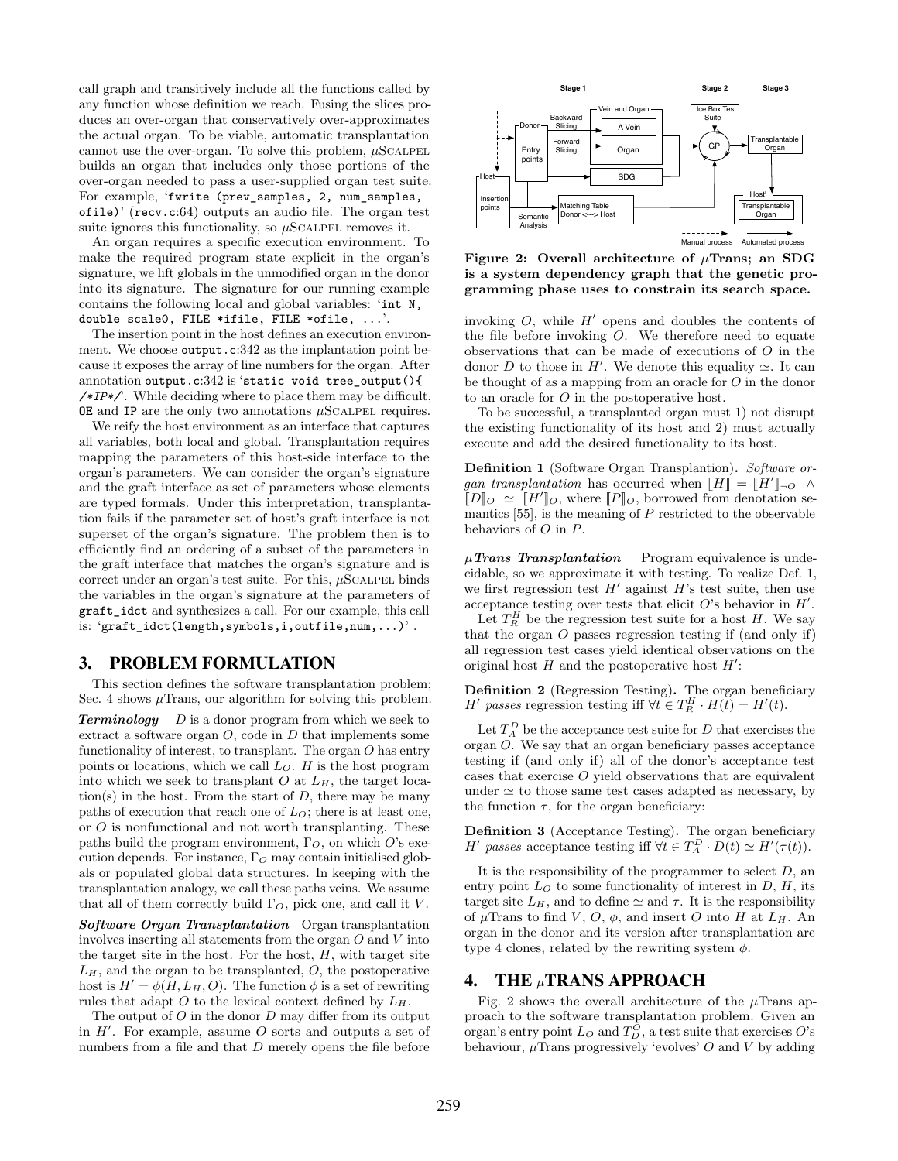call graph and transitively include all the functions called by any function whose definition we reach. Fusing the slices produces an over-organ that conservatively over-approximates the actual organ. To be viable, automatic transplantation cannot use the over-organ. To solve this problem,  $\mu$ SCALPEL builds an organ that includes only those portions of the over-organ needed to pass a user-supplied organ test suite. For example, 'fwrite (prev\_samples, 2, num\_samples, ofile)' (recv.c:64) outputs an audio file. The organ test suite ignores this functionality, so  $\mu$ SCALPEL removes it.

An organ requires a specific execution environment. To make the required program state explicit in the organ's signature, we lift globals in the unmodified organ in the donor into its signature. The signature for our running example contains the following local and global variables: '**int** N, **double** scale0, FILE ∗ifile, FILE ∗ofile, ...'.

The insertion point in the host defines an execution environment. We choose output.c:342 as the implantation point because it exposes the array of line numbers for the organ. After annotation output.c:342 is '**static void** tree\_output(){ */∗IP∗/*'. While deciding where to place them may be difficult,  $OE$  and IP are the only two annotations  $\mu$ SCALPEL requires.

We reify the host environment as an interface that captures all variables, both local and global. Transplantation requires mapping the parameters of this host-side interface to the organ's parameters. We can consider the organ's signature and the graft interface as set of parameters whose elements are typed formals. Under this interpretation, transplantation fails if the parameter set of host's graft interface is not superset of the organ's signature. The problem then is to efficiently find an ordering of a subset of the parameters in the graft interface that matches the organ's signature and is correct under an organ's test suite. For this,  $\mu$ SCALPEL binds the variables in the organ's signature at the parameters of graft\_idct and synthesizes a call. For our example, this call is: 'graft\_idct(length,symbols,i,outfile,num,...)'.

## <span id="page-2-0"></span>3. PROBLEM FORMULATION

This section defines the software transplantation problem; [Sec. 4](#page-2-1) shows  $\mu$ Trans, our algorithm for solving this problem.

**Terminology**  $D$  is a donor program from which we seek to extract a software organ  $O$ , code in  $D$  that implements some functionality of interest, to transplant. The organ O has entry points or locations, which we call  $L<sub>O</sub>$ . H is the host program into which we seek to transplant  $O$  at  $L_H$ , the target location(s) in the host. From the start of  $D$ , there may be many paths of execution that reach one of  $L<sub>O</sub>$ ; there is at least one, or  $O$  is nonfunctional and not worth transplanting. These paths build the program environment,  $\Gamma_O$ , on which O's execution depends. For instance,  $\Gamma_O$  may contain initialised globals or populated global data structures. In keeping with the transplantation analogy, we call these paths veins. We assume that all of them correctly build  $\Gamma_O$ , pick one, and call it V.

Software Organ Transplantation Organ transplantation involves inserting all statements from the organ O and V into the target site in the host. For the host,  $H$ , with target site  $L_H$ , and the organ to be transplanted,  $O$ , the postoperative host is  $H' = \phi(H, L_H, O)$ . The function  $\phi$  is a set of rewriting rules that adapt O to the lexical context defined by  $L_H$ .

The output of  $O$  in the donor  $D$  may differ from its output in  $H'$ . For example, assume O sorts and outputs a set of numbers from a file and that D merely opens the file before

<span id="page-2-3"></span>

Figure 2: Overall architecture of  $\mu$ Trans; an SDG is a system dependency graph that the genetic programming phase uses to constrain its search space.

invoking  $O$ , while  $H'$  opens and doubles the contents of the file before invoking O. We therefore need to equate observations that can be made of executions of O in the donor D to those in H'. We denote this equality  $\simeq$ . It can be thought of as a mapping from an oracle for O in the donor to an oracle for O in the postoperative host.

To be successful, a transplanted organ must 1) not disrupt the existing functionality of its host and 2) must actually execute and add the desired functionality to its host.

<span id="page-2-2"></span>Definition 1 (Software Organ Transplantion). Software organ transplantation has occurred when  $[[H]] = [[H']]_{\neg O} \land$  $[D]_O \simeq [H']_O$ , where  $[P]_O$ , borrowed from denotation semantics  $[55]$ , is the meaning of  $P$  restricted to the observable behaviors of O in P.

 $\mu$ Trans Transplantation Program equivalence is undecidable, so we approximate it with testing. To realize [Def. 1,](#page-2-2) we first regression test  $H'$  against  $H$ 's test suite, then use acceptance testing over tests that elicit  $O$ 's behavior in  $H'$ .

Let  $T_R^H$  be the regression test suite for a host H. We say that the organ O passes regression testing if (and only if) all regression test cases yield identical observations on the original host  $H$  and the postoperative host  $H'$ :

Definition 2 (Regression Testing). The organ beneficiary *H'* passes regression testing iff  $\forall t \in T_R^H \cdot H(t) = H'(t)$ .

Let  $T_A^D$  be the acceptance test suite for D that exercises the organ O. We say that an organ beneficiary passes acceptance testing if (and only if) all of the donor's acceptance test cases that exercise O yield observations that are equivalent under  $\simeq$  to those same test cases adapted as necessary, by the function  $\tau$ , for the organ beneficiary:

<span id="page-2-4"></span>Definition 3 (Acceptance Testing). The organ beneficiary H' passes acceptance testing iff  $\forall t \in T_A^D \cdot D(t) \simeq H'(\tau(t)).$ 

It is the responsibility of the programmer to select  $D$ , an entry point  $L<sub>O</sub>$  to some functionality of interest in  $D$ ,  $H$ , its target site  $L_H$ , and to define  $\simeq$  and  $\tau$ . It is the responsibility of  $\mu$ Trans to find V, O,  $\phi$ , and insert O into H at  $L_H$ . An organ in the donor and its version after transplantation are type 4 clones, related by the rewriting system  $\phi$ .

#### <span id="page-2-1"></span>4. THE µTRANS APPROACH

[Fig. 2](#page-2-3) shows the overall architecture of the  $\mu$ Trans approach to the software transplantation problem. Given an organ's entry point  $L_O$  and  $T_D^O$ , a test suite that exercises O's behaviour,  $\mu$ Trans progressively 'evolves' O and V by adding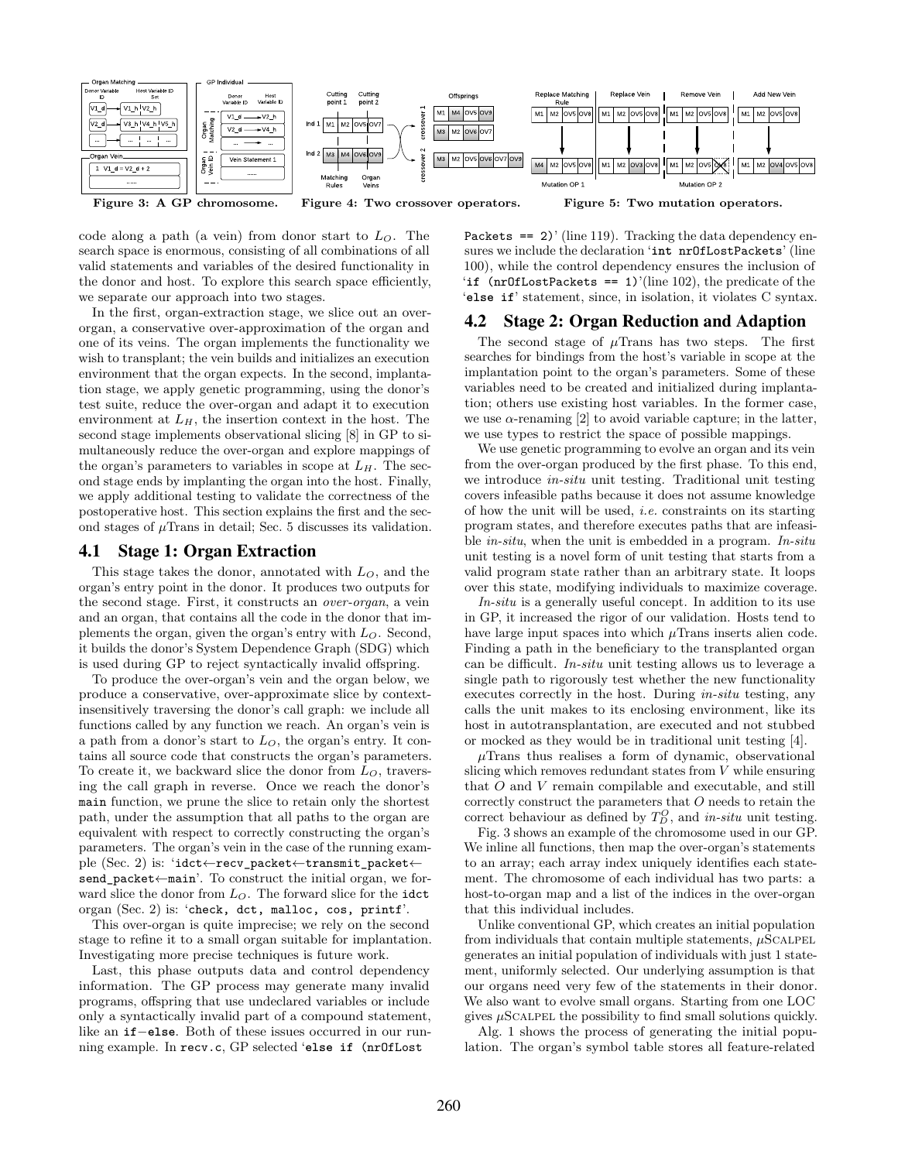<span id="page-3-0"></span>

code along a path (a vein) from donor start to  $L<sub>O</sub>$ . The search space is enormous, consisting of all combinations of all valid statements and variables of the desired functionality in the donor and host. To explore this search space efficiently, we separate our approach into two stages.

In the first, organ-extraction stage, we slice out an overorgan, a conservative over-approximation of the organ and one of its veins. The organ implements the functionality we wish to transplant; the vein builds and initializes an execution environment that the organ expects. In the second, implantation stage, we apply genetic programming, using the donor's test suite, reduce the over-organ and adapt it to execution environment at  $L_H$ , the insertion context in the host. The second stage implements observational slicing [\[8\]](#page-10-9) in GP to simultaneously reduce the over-organ and explore mappings of the organ's parameters to variables in scope at  $L_H$ . The second stage ends by implanting the organ into the host. Finally, we apply additional testing to validate the correctness of the postoperative host. This section explains the first and the second stages of  $\mu$ Trans in detail; [Sec. 5](#page-4-0) discusses its validation.

#### 4.1 Stage 1: Organ Extraction

This stage takes the donor, annotated with  $L<sub>O</sub>$ , and the organ's entry point in the donor. It produces two outputs for the second stage. First, it constructs an over-organ, a vein and an organ, that contains all the code in the donor that implements the organ, given the organ's entry with  $L<sub>O</sub>$ . Second, it builds the donor's System Dependence Graph (SDG) which is used during GP to reject syntactically invalid offspring.

To produce the over-organ's vein and the organ below, we produce a conservative, over-approximate slice by contextinsensitively traversing the donor's call graph: we include all functions called by any function we reach. An organ's vein is a path from a donor's start to  $L<sub>O</sub>$ , the organ's entry. It contains all source code that constructs the organ's parameters. To create it, we backward slice the donor from  $L_O$ , traversing the call graph in reverse. Once we reach the donor's main function, we prune the slice to retain only the shortest path, under the assumption that all paths to the organ are equivalent with respect to correctly constructing the organ's parameters. The organ's vein in the case of the running example [\(Sec. 2\)](#page-1-3) is: 'idct←recv\_packet←transmit\_packet← send\_packet←main'. To construct the initial organ, we forward slice the donor from  $L<sub>O</sub>$ . The forward slice for the idct organ [\(Sec. 2\)](#page-1-3) is: 'check, dct, malloc, cos, printf'.

This over-organ is quite imprecise; we rely on the second stage to refine it to a small organ suitable for implantation. Investigating more precise techniques is future work.

Last, this phase outputs data and control dependency information. The GP process may generate many invalid programs, offspring that use undeclared variables or include only a syntactically invalid part of a compound statement, like an **if**−**else**. Both of these issues occurred in our running example. In recv.c, GP selected '**else if** (nrOfLost

Packets  $==$  2)' (line 119). Tracking the data dependency ensures we include the declaration '**int** nrOfLostPackets' (line 100), while the control dependency ensures the inclusion of '**if** (nrOfLostPackets == 1)'(line 102), the predicate of the '**else if**' statement, since, in isolation, it violates C syntax.

#### 4.2 Stage 2: Organ Reduction and Adaption

The second stage of  $\mu$ Trans has two steps. The first searches for bindings from the host's variable in scope at the implantation point to the organ's parameters. Some of these variables need to be created and initialized during implantation; others use existing host variables. In the former case, we use  $\alpha$ -renaming [\[2\]](#page-10-10) to avoid variable capture; in the latter, we use types to restrict the space of possible mappings.

We use genetic programming to evolve an organ and its vein from the over-organ produced by the first phase. To this end, we introduce in-situ unit testing. Traditional unit testing covers infeasible paths because it does not assume knowledge of how the unit will be used, i.e. constraints on its starting program states, and therefore executes paths that are infeasible in-situ, when the unit is embedded in a program. In-situ unit testing is a novel form of unit testing that starts from a valid program state rather than an arbitrary state. It loops over this state, modifying individuals to maximize coverage.

In-situ is a generally useful concept. In addition to its use in GP, it increased the rigor of our validation. Hosts tend to have large input spaces into which  $\mu$ Trans inserts alien code. Finding a path in the beneficiary to the transplanted organ can be difficult. In-situ unit testing allows us to leverage a single path to rigorously test whether the new functionality executes correctly in the host. During in-situ testing, any calls the unit makes to its enclosing environment, like its host in autotransplantation, are executed and not stubbed or mocked as they would be in traditional unit testing [\[4\]](#page-10-11).

 $\mu$ Trans thus realises a form of dynamic, observational slicing which removes redundant states from V while ensuring that O and V remain compilable and executable, and still correctly construct the parameters that  $O$  needs to retain the correct behaviour as defined by  $T_D^O$ , and *in-situ* unit testing.

[Fig. 3](#page-3-0) shows an example of the chromosome used in our GP. We inline all functions, then map the over-organ's statements to an array; each array index uniquely identifies each statement. The chromosome of each individual has two parts: a host-to-organ map and a list of the indices in the over-organ that this individual includes.

Unlike conventional GP, which creates an initial population from individuals that contain multiple statements,  $\mu$ SCALPEL generates an initial population of individuals with just 1 statement, uniformly selected. Our underlying assumption is that our organs need very few of the statements in their donor. We also want to evolve small organs. Starting from one LOC gives  $\mu$ SCALPEL the possibility to find small solutions quickly.

[Alg. 1](#page-4-1) shows the process of generating the initial population. The organ's symbol table stores all feature-related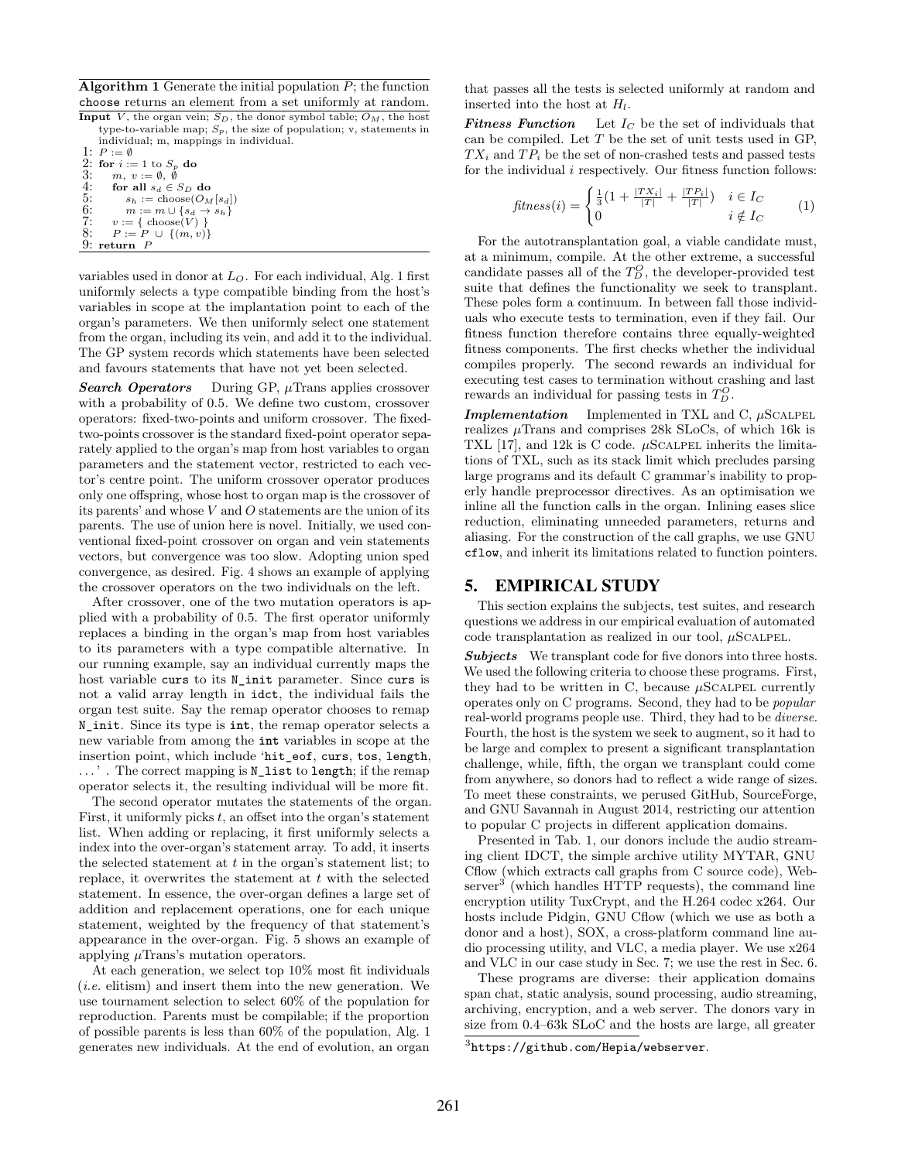<span id="page-4-1"></span>**Algorithm 1** Generate the initial population  $P$ ; the function choose returns an element from a set uniformly at random.

Input  $\overline{V}$ , the organ vein;  $S_D$ , the donor symbol table;  $O_M$ , the host type-to-variable map;  $S_p$ , the size of population; v, statements in individual; m, mappings in individual.

1:  $P := \emptyset$ 2: for  $i := 1$  to  $S_p$  do<br>3:  $m, v := \emptyset, \emptyset$ 4: for all  $s_d \in S_D$  do<br>5:  $s_b := \text{choose} O_M$ 5:  $s_h := \text{choose}(O_M[s_d])$ <br>
6:  $m := m \cup \{s_d \to s_h\}$ <br>
7:  $v := \{ \text{choose}(V) \}$  $m := m \cup \{s_d \rightarrow s_h\}$ 7:  $v := \{ \text{ choose}(V) \}$ <br>8:  $P := P \cup \{ (m, v) \}$  $P := P \ \cup \ \{(m,v)\}$ 9: return P

variables used in donor at  $L<sub>O</sub>$ . For each individual, [Alg. 1](#page-4-1) first uniformly selects a type compatible binding from the host's variables in scope at the implantation point to each of the organ's parameters. We then uniformly select one statement from the organ, including its vein, and add it to the individual. The GP system records which statements have been selected and favours statements that have not yet been selected.

**Search Operators** During GP,  $\mu$ Trans applies crossover with a probability of 0.5. We define two custom, crossover operators: fixed-two-points and uniform crossover. The fixedtwo-points crossover is the standard fixed-point operator separately applied to the organ's map from host variables to organ parameters and the statement vector, restricted to each vector's centre point. The uniform crossover operator produces only one offspring, whose host to organ map is the crossover of its parents' and whose  $V$  and  $O$  statements are the union of its parents. The use of union here is novel. Initially, we used conventional fixed-point crossover on organ and vein statements vectors, but convergence was too slow. Adopting union sped convergence, as desired. [Fig. 4](#page-3-0) shows an example of applying the crossover operators on the two individuals on the left.

After crossover, one of the two mutation operators is applied with a probability of 0.5. The first operator uniformly replaces a binding in the organ's map from host variables to its parameters with a type compatible alternative. In our running example, say an individual currently maps the host variable curs to its N\_init parameter. Since curs is not a valid array length in idct, the individual fails the organ test suite. Say the remap operator chooses to remap N\_init. Since its type is **int**, the remap operator selects a new variable from among the **int** variables in scope at the insertion point, which include 'hit\_eof, curs, tos, length, . . . ' . The correct mapping is N\_list to length; if the remap operator selects it, the resulting individual will be more fit.

The second operator mutates the statements of the organ. First, it uniformly picks  $t$ , an offset into the organ's statement list. When adding or replacing, it first uniformly selects a index into the over-organ's statement array. To add, it inserts the selected statement at  $t$  in the organ's statement list; to replace, it overwrites the statement at  $t$  with the selected statement. In essence, the over-organ defines a large set of addition and replacement operations, one for each unique statement, weighted by the frequency of that statement's appearance in the over-organ. [Fig. 5](#page-3-0) shows an example of applying  $\mu$ Trans's mutation operators.

At each generation, we select top 10% most fit individuals (i.e. elitism) and insert them into the new generation. We use tournament selection to select 60% of the population for reproduction. Parents must be compilable; if the proportion of possible parents is less than 60% of the population, [Alg. 1](#page-4-1) generates new individuals. At the end of evolution, an organ

that passes all the tests is selected uniformly at random and inserted into the host at  $H_l$ .

**Fitness Function** Let  $I_C$  be the set of individuals that can be compiled. Let  $T$  be the set of unit tests used in GP,  $TX_i$  and  $TP_i$  be the set of non-crashed tests and passed tests for the individual  $i$  respectively. Our fitness function follows:

$$
fitness(i) = \begin{cases} \frac{1}{3}(1 + \frac{|TX_i|}{|T|} + \frac{|TP_i|}{|T|}) & i \in I_C \\ 0 & i \notin I_C \end{cases}
$$
 (1)

For the autotransplantation goal, a viable candidate must, at a minimum, compile. At the other extreme, a successful candidate passes all of the  $T_D^O$ , the developer-provided test suite that defines the functionality we seek to transplant. These poles form a continuum. In between fall those individuals who execute tests to termination, even if they fail. Our fitness function therefore contains three equally-weighted fitness components. The first checks whether the individual compiles properly. The second rewards an individual for executing test cases to termination without crashing and last rewards an individual for passing tests in  $T_D^O$ .

**Implementation** Implemented in TXL and C,  $\mu$ SCALPEL realizes  $\mu$ Trans and comprises 28k SLoCs, of which 16k is TXL [\[17\]](#page-10-12), and 12k is C code.  $\mu$ SCALPEL inherits the limitations of TXL, such as its stack limit which precludes parsing large programs and its default C grammar's inability to properly handle preprocessor directives. As an optimisation we inline all the function calls in the organ. Inlining eases slice reduction, eliminating unneeded parameters, returns and aliasing. For the construction of the call graphs, we use GNU cflow, and inherit its limitations related to function pointers.

#### <span id="page-4-0"></span>5. EMPIRICAL STUDY

This section explains the subjects, test suites, and research questions we address in our empirical evaluation of automated code transplantation as realized in our tool,  $\mu$ SCALPEL.

Subjects We transplant code for five donors into three hosts. We used the following criteria to choose these programs. First, they had to be written in C, because  $\mu$ SCALPEL currently operates only on C programs. Second, they had to be popular real-world programs people use. Third, they had to be diverse. Fourth, the host is the system we seek to augment, so it had to be large and complex to present a significant transplantation challenge, while, fifth, the organ we transplant could come from anywhere, so donors had to reflect a wide range of sizes. To meet these constraints, we perused GitHub, SourceForge, and GNU Savannah in August 2014, restricting our attention to popular C projects in different application domains.

Presented in [Tab. 1,](#page-5-0) our donors include the audio streaming client IDCT, the simple archive utility MYTAR, GNU Cflow (which extracts call graphs from C source code), Web- $\text{server}^3$  $\text{server}^3$  (which handles HTTP requests), the command line encryption utility TuxCrypt, and the H.264 codec x264. Our hosts include Pidgin, GNU Cflow (which we use as both a donor and a host), SOX, a cross-platform command line audio processing utility, and VLC, a media player. We use x264 and VLC in our case study in [Sec. 7;](#page-7-0) we use the rest in [Sec. 6.](#page-6-0)

These programs are diverse: their application domains span chat, static analysis, sound processing, audio streaming, archiving, encryption, and a web server. The donors vary in size from 0.4–63k SLoC and the hosts are large, all greater

<span id="page-4-2"></span> $^3$ <https://github.com/Hepia/webserver>.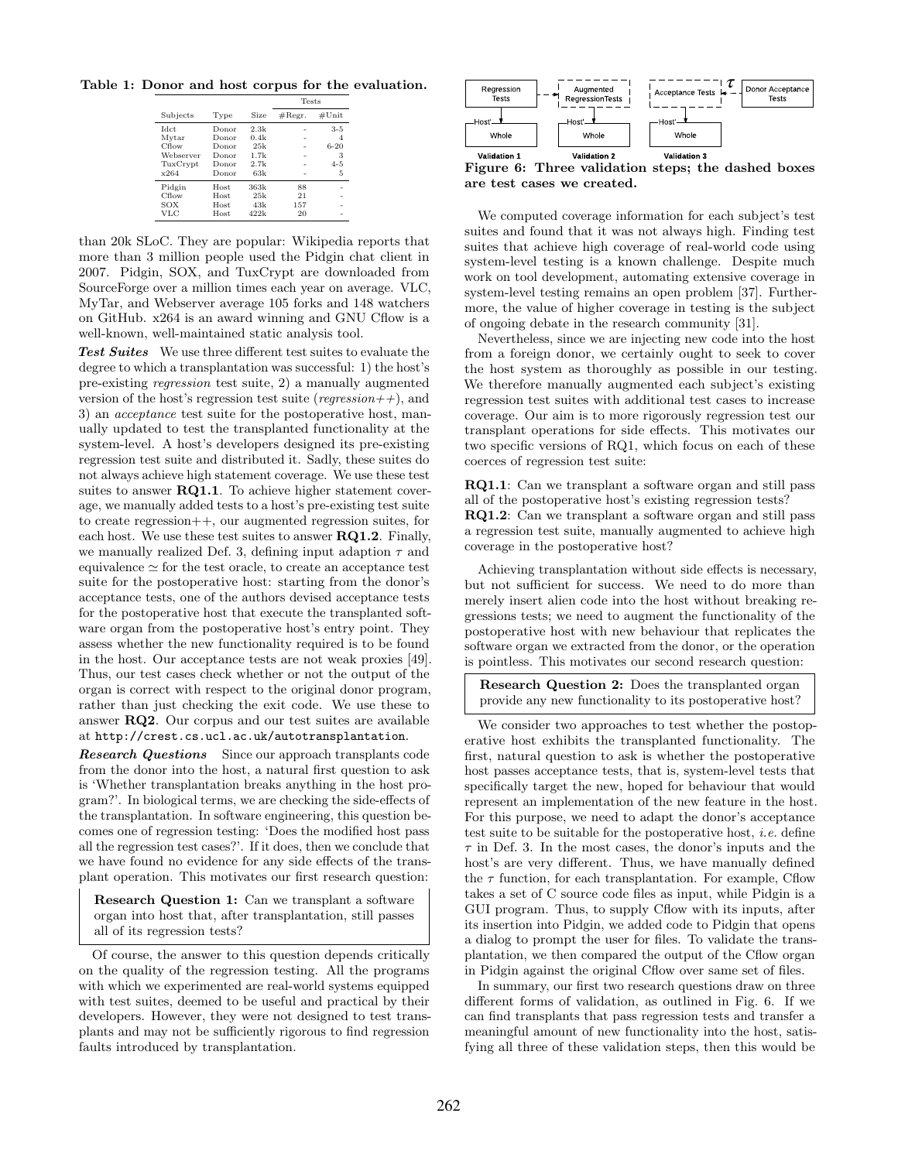<span id="page-5-0"></span>Table 1: Donor and host corpus for the evaluation.

|             |             |             | <b>Tests</b>     |          |  |
|-------------|-------------|-------------|------------------|----------|--|
| Subjects    | Type        | <b>Size</b> | $\#\text{Regr.}$ | #Unit    |  |
| <b>Idct</b> | Donor       | 2.3k        |                  | $3 - 5$  |  |
| Mytar       | Donor       | 0.4k        |                  | 4        |  |
| Cflow       | Donor       | 25k         |                  | $6 - 20$ |  |
| Webserver   | Donor       | 1.7k        |                  | 3        |  |
| TuxCrypt    | Donor       | 2.7k        |                  | $4 - 5$  |  |
| x264        | Donor       | 63k         |                  | 5        |  |
| Pidgin      | <b>Host</b> | 363k        | 88               |          |  |
| Cflow       | <b>Host</b> | 25k         | 21               |          |  |
| SOX         | Host.       | 43k         | 157              |          |  |
| VLC         | <b>Host</b> | 422k        | 20               |          |  |

than 20k SLoC. They are popular: Wikipedia reports that more than 3 million people used the Pidgin chat client in 2007. Pidgin, SOX, and TuxCrypt are downloaded from SourceForge over a million times each year on average. VLC, MyTar, and Webserver average 105 forks and 148 watchers on GitHub. x264 is an award winning and GNU Cflow is a well-known, well-maintained static analysis tool.

Test Suites We use three different test suites to evaluate the degree to which a transplantation was successful: 1) the host's pre-existing regression test suite, 2) a manually augmented version of the host's regression test suite (regression++), and 3) an acceptance test suite for the postoperative host, manually updated to test the transplanted functionality at the system-level. A host's developers designed its pre-existing regression test suite and distributed it. Sadly, these suites do not always achieve high statement coverage. We use these test suites to answer RQ1.1. To achieve higher statement coverage, we manually added tests to a host's pre-existing test suite to create regression++, our augmented regression suites, for each host. We use these test suites to answer  $\mathbf{RQ1.2}$ . Finally, we manually realized [Def. 3,](#page-2-4) defining input adaption  $\tau$  and equivalence  $\simeq$  for the test oracle, to create an acceptance test suite for the postoperative host: starting from the donor's acceptance tests, one of the authors devised acceptance tests for the postoperative host that execute the transplanted software organ from the postoperative host's entry point. They assess whether the new functionality required is to be found in the host. Our acceptance tests are not weak proxies [\[49\]](#page-11-8). Thus, our test cases check whether or not the output of the organ is correct with respect to the original donor program, rather than just checking the exit code. We use these to answer RQ2. Our corpus and our test suites are available at <http://crest.cs.ucl.ac.uk/autotransplantation>.

**Research Questions** Since our approach transplants code from the donor into the host, a natural first question to ask is 'Whether transplantation breaks anything in the host program?'. In biological terms, we are checking the side-effects of the transplantation. In software engineering, this question becomes one of regression testing: 'Does the modified host pass all the regression test cases?'. If it does, then we conclude that we have found no evidence for any side effects of the transplant operation. This motivates our first research question:

Research Question 1: Can we transplant a software organ into host that, after transplantation, still passes all of its regression tests?

Of course, the answer to this question depends critically on the quality of the regression testing. All the programs with which we experimented are real-world systems equipped with test suites, deemed to be useful and practical by their developers. However, they were not designed to test transplants and may not be sufficiently rigorous to find regression faults introduced by transplantation.

<span id="page-5-1"></span>

Figure 6: Three validation steps; the dashed boxes are test cases we created.

We computed coverage information for each subject's test suites and found that it was not always high. Finding test suites that achieve high coverage of real-world code using system-level testing is a known challenge. Despite much work on tool development, automating extensive coverage in system-level testing remains an open problem [\[37\]](#page-11-9). Furthermore, the value of higher coverage in testing is the subject of ongoing debate in the research community [\[31\]](#page-11-10).

Nevertheless, since we are injecting new code into the host from a foreign donor, we certainly ought to seek to cover the host system as thoroughly as possible in our testing. We therefore manually augmented each subject's existing regression test suites with additional test cases to increase coverage. Our aim is to more rigorously regression test our transplant operations for side effects. This motivates our two specific versions of RQ1, which focus on each of these coerces of regression test suite:

RQ1.1: Can we transplant a software organ and still pass all of the postoperative host's existing regression tests?

RQ1.2: Can we transplant a software organ and still pass a regression test suite, manually augmented to achieve high coverage in the postoperative host?

Achieving transplantation without side effects is necessary, but not sufficient for success. We need to do more than merely insert alien code into the host without breaking regressions tests; we need to augment the functionality of the postoperative host with new behaviour that replicates the software organ we extracted from the donor, or the operation is pointless. This motivates our second research question:

Research Question 2: Does the transplanted organ provide any new functionality to its postoperative host?

We consider two approaches to test whether the postoperative host exhibits the transplanted functionality. The first, natural question to ask is whether the postoperative host passes acceptance tests, that is, system-level tests that specifically target the new, hoped for behaviour that would represent an implementation of the new feature in the host. For this purpose, we need to adapt the donor's acceptance test suite to be suitable for the postoperative host, i.e. define  $\tau$  in [Def. 3.](#page-2-4) In the most cases, the donor's inputs and the host's are very different. Thus, we have manually defined the  $\tau$  function, for each transplantation. For example, Cflow takes a set of C source code files as input, while Pidgin is a GUI program. Thus, to supply Cflow with its inputs, after its insertion into Pidgin, we added code to Pidgin that opens a dialog to prompt the user for files. To validate the transplantation, we then compared the output of the Cflow organ in Pidgin against the original Cflow over same set of files.

In summary, our first two research questions draw on three different forms of validation, as outlined in [Fig. 6.](#page-5-1) If we can find transplants that pass regression tests and transfer a meaningful amount of new functionality into the host, satisfying all three of these validation steps, then this would be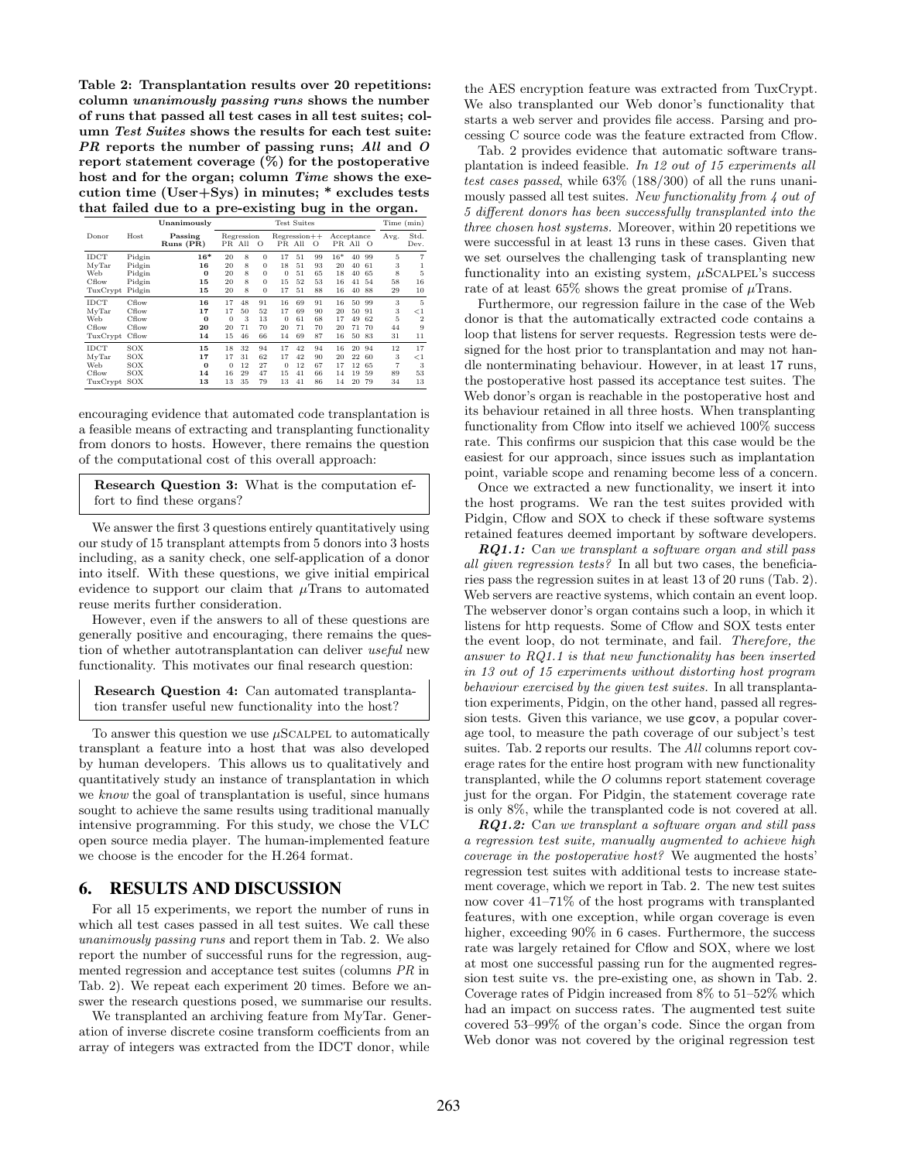<span id="page-6-1"></span>Table 2: Transplantation results over 20 repetitions: column unanimously passing runs shows the number of runs that passed all test cases in all test suites; column Test Suites shows the results for each test suite: PR reports the number of passing runs; All and O report statement coverage (%) for the postoperative host and for the organ; column Time shows the execution time (User+Sys) in minutes; \* excludes tests that failed due to a pre-existing bug in the organ.

|                                           |                                                | Unanimously                         | <b>Test Suites</b>               |                            |                                                          |                                      |                            |                            |                               | Time (min)                 |                            |                          |                                          |
|-------------------------------------------|------------------------------------------------|-------------------------------------|----------------------------------|----------------------------|----------------------------------------------------------|--------------------------------------|----------------------------|----------------------------|-------------------------------|----------------------------|----------------------------|--------------------------|------------------------------------------|
| Donor                                     | Host                                           | Passing<br>$Runs$ $(PR)$            |                                  | Regression<br>PR All       | $\circ$                                                  | $Regression++$                       | PR All                     | $\circ$                    | Acceptance                    | PR All                     | $\circ$                    | Avg.                     | Std.<br>Dev.                             |
| IDCT<br>MyTar<br>Web<br>Cflow<br>TuxCrypt | Pidgin<br>Pidgin<br>Pidgin<br>Pidgin<br>Pidgin | $16*$<br>16<br>$\Omega$<br>15<br>15 | 20<br>20<br>20<br>20<br>20       | 8<br>8<br>8<br>8<br>8      | $\Omega$<br>$\Omega$<br>$\Omega$<br>$\Omega$<br>$\Omega$ | 17<br>18<br>$\mathbf{0}$<br>15<br>17 | 51<br>51<br>51<br>52<br>51 | 99<br>93<br>65<br>53<br>88 | $16*$<br>20<br>18<br>16<br>16 | 40<br>40<br>40<br>41<br>40 | 99<br>61<br>65<br>54<br>88 | 5<br>3<br>8<br>58<br>29  | 5<br>16<br>10                            |
| IDCT<br>MyTar<br>Web<br>Cflow<br>TuxCrypt | Cflow<br>Cflow<br>Cflow<br>Cflow<br>Cflow      | 16<br>17<br>$\bf{0}$<br>20<br>14    | 17<br>17<br>$\theta$<br>20<br>15 | 48<br>50<br>3<br>71<br>46  | 91<br>52<br>13<br>70<br>66                               | 16<br>17<br>$\theta$<br>20<br>14     | 69<br>69<br>61<br>71<br>69 | 91<br>90<br>68<br>70<br>87 | 16<br>20<br>17<br>20<br>16    | 50<br>50<br>49<br>71<br>50 | 99<br>91<br>62<br>70<br>83 | 3<br>3<br>5<br>44<br>31  | 5<br>$\lt1$<br>$\overline{2}$<br>9<br>11 |
| IDCT<br>MvTar<br>Web<br>Cflow<br>TuxCrypt | SOX<br>SOX<br>SOX<br>SOX<br>SOX                | 15<br>17<br>$\Omega$<br>14<br>13    | 18<br>17<br>$\Omega$<br>16<br>13 | 32<br>31<br>12<br>29<br>35 | 94<br>62<br>27<br>47<br>79                               | 17<br>17<br>$\Omega$<br>15<br>13     | 42<br>42<br>12<br>41<br>41 | 94<br>90<br>67<br>66<br>86 | 16<br>20<br>17<br>14<br>14    | 20<br>22<br>12<br>19<br>20 | 94<br>60<br>65<br>59<br>79 | 12<br>3<br>7<br>89<br>34 | 17<br>$\lt 1$<br>3<br>53<br>13           |

encouraging evidence that automated code transplantation is a feasible means of extracting and transplanting functionality from donors to hosts. However, there remains the question of the computational cost of this overall approach:

Research Question 3: What is the computation effort to find these organs?

We answer the first 3 questions entirely quantitatively using our study of 15 transplant attempts from 5 donors into 3 hosts including, as a sanity check, one self-application of a donor into itself. With these questions, we give initial empirical evidence to support our claim that  $\mu$ Trans to automated reuse merits further consideration.

However, even if the answers to all of these questions are generally positive and encouraging, there remains the question of whether autotransplantation can deliver useful new functionality. This motivates our final research question:

Research Question 4: Can automated transplantation transfer useful new functionality into the host?

To answer this question we use  $\mu$ SCALPEL to automatically transplant a feature into a host that was also developed by human developers. This allows us to qualitatively and quantitatively study an instance of transplantation in which we know the goal of transplantation is useful, since humans sought to achieve the same results using traditional manually intensive programming. For this study, we chose the VLC open source media player. The human-implemented feature we choose is the encoder for the H.264 format.

#### <span id="page-6-0"></span>6. RESULTS AND DISCUSSION

For all 15 experiments, we report the number of runs in which all test cases passed in all test suites. We call these unanimously passing runs and report them in [Tab. 2.](#page-6-1) We also report the number of successful runs for the regression, augmented regression and acceptance test suites (columns PR in [Tab. 2\)](#page-6-1). We repeat each experiment 20 times. Before we answer the research questions posed, we summarise our results.

We transplanted an archiving feature from MyTar. Generation of inverse discrete cosine transform coefficients from an array of integers was extracted from the IDCT donor, while

the AES encryption feature was extracted from TuxCrypt. We also transplanted our Web donor's functionality that starts a web server and provides file access. Parsing and processing C source code was the feature extracted from Cflow.

[Tab. 2](#page-6-1) provides evidence that automatic software transplantation is indeed feasible. In 12 out of 15 experiments all test cases passed, while 63% (188/300) of all the runs unanimously passed all test suites. New functionality from 4 out of 5 different donors has been successfully transplanted into the three chosen host systems. Moreover, within 20 repetitions we were successful in at least 13 runs in these cases. Given that we set ourselves the challenging task of transplanting new functionality into an existing system,  $\mu$ SCALPEL's success rate of at least 65% shows the great promise of  $\mu$ Trans.

Furthermore, our regression failure in the case of the Web donor is that the automatically extracted code contains a loop that listens for server requests. Regression tests were designed for the host prior to transplantation and may not handle nonterminating behaviour. However, in at least 17 runs, the postoperative host passed its acceptance test suites. The Web donor's organ is reachable in the postoperative host and its behaviour retained in all three hosts. When transplanting functionality from Cflow into itself we achieved 100% success rate. This confirms our suspicion that this case would be the easiest for our approach, since issues such as implantation point, variable scope and renaming become less of a concern.

Once we extracted a new functionality, we insert it into the host programs. We ran the test suites provided with Pidgin, Cflow and SOX to check if these software systems retained features deemed important by software developers.

 $RQ1.1:$  Can we transplant a software organ and still pass all given regression tests? In all but two cases, the beneficiaries pass the regression suites in at least 13 of 20 runs [\(Tab. 2\)](#page-6-1). Web servers are reactive systems, which contain an event loop. The webserver donor's organ contains such a loop, in which it listens for http requests. Some of Cflow and SOX tests enter the event loop, do not terminate, and fail. Therefore, the answer to RQ1.1 is that new functionality has been inserted in 13 out of 15 experiments without distorting host program behaviour exercised by the given test suites. In all transplantation experiments, Pidgin, on the other hand, passed all regression tests. Given this variance, we use gcov, a popular coverage tool, to measure the path coverage of our subject's test suites. [Tab. 2](#page-6-1) reports our results. The All columns report coverage rates for the entire host program with new functionality transplanted, while the O columns report statement coverage just for the organ. For Pidgin, the statement coverage rate is only 8%, while the transplanted code is not covered at all.

RQ1.2: Can we transplant a software organ and still pass a regression test suite, manually augmented to achieve high coverage in the postoperative host? We augmented the hosts' regression test suites with additional tests to increase statement coverage, which we report in [Tab. 2.](#page-6-1) The new test suites now cover 41–71% of the host programs with transplanted features, with one exception, while organ coverage is even higher, exceeding  $90\%$  in 6 cases. Furthermore, the success rate was largely retained for Cflow and SOX, where we lost at most one successful passing run for the augmented regression test suite vs. the pre-existing one, as shown in [Tab. 2.](#page-6-1) Coverage rates of Pidgin increased from 8% to 51–52% which had an impact on success rates. The augmented test suite covered 53–99% of the organ's code. Since the organ from Web donor was not covered by the original regression test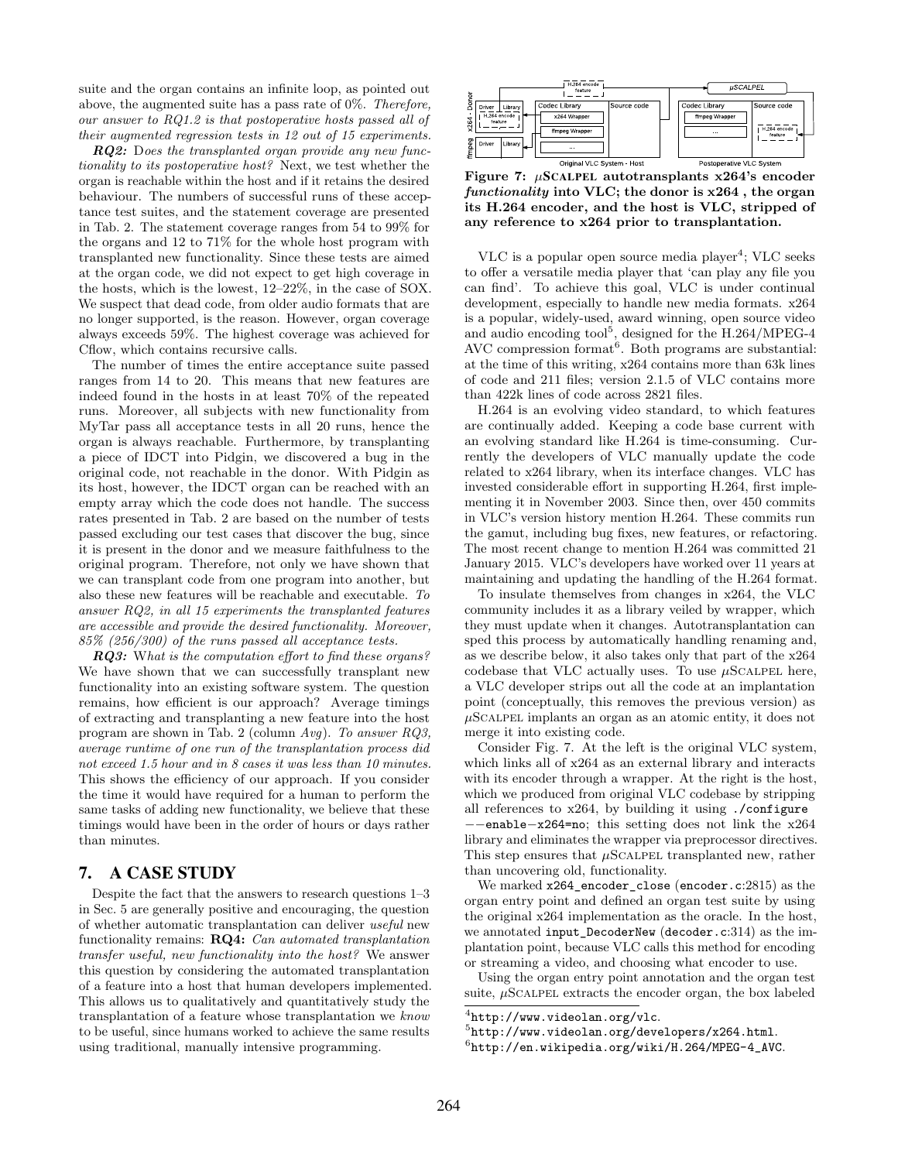suite and the organ contains an infinite loop, as pointed out above, the augmented suite has a pass rate of 0%. Therefore, our answer to RQ1.2 is that postoperative hosts passed all of their augmented regression tests in 12 out of 15 experiments.

RQ2: Does the transplanted organ provide any new functionality to its postoperative host? Next, we test whether the organ is reachable within the host and if it retains the desired behaviour. The numbers of successful runs of these acceptance test suites, and the statement coverage are presented in [Tab. 2.](#page-6-1) The statement coverage ranges from 54 to 99% for the organs and 12 to 71% for the whole host program with transplanted new functionality. Since these tests are aimed at the organ code, we did not expect to get high coverage in the hosts, which is the lowest, 12–22%, in the case of SOX. We suspect that dead code, from older audio formats that are no longer supported, is the reason. However, organ coverage always exceeds 59%. The highest coverage was achieved for Cflow, which contains recursive calls.

The number of times the entire acceptance suite passed ranges from 14 to 20. This means that new features are indeed found in the hosts in at least 70% of the repeated runs. Moreover, all subjects with new functionality from MyTar pass all acceptance tests in all 20 runs, hence the organ is always reachable. Furthermore, by transplanting a piece of IDCT into Pidgin, we discovered a bug in the original code, not reachable in the donor. With Pidgin as its host, however, the IDCT organ can be reached with an empty array which the code does not handle. The success rates presented in [Tab. 2](#page-6-1) are based on the number of tests passed excluding our test cases that discover the bug, since it is present in the donor and we measure faithfulness to the original program. Therefore, not only we have shown that we can transplant code from one program into another, but also these new features will be reachable and executable. To answer RQ2, in all 15 experiments the transplanted features are accessible and provide the desired functionality. Moreover, 85% (256/300) of the runs passed all acceptance tests.

**RQ3:** What is the computation effort to find these organs? We have shown that we can successfully transplant new functionality into an existing software system. The question remains, how efficient is our approach? Average timings of extracting and transplanting a new feature into the host program are shown in [Tab. 2](#page-6-1) (column Avg). To answer RQ3, average runtime of one run of the transplantation process did not exceed 1.5 hour and in 8 cases it was less than 10 minutes. This shows the efficiency of our approach. If you consider the time it would have required for a human to perform the same tasks of adding new functionality, we believe that these timings would have been in the order of hours or days rather than minutes.

## <span id="page-7-0"></span>7. A CASE STUDY

Despite the fact that the answers to research questions 1–3 in [Sec. 5](#page-4-0) are generally positive and encouraging, the question of whether automatic transplantation can deliver useful new functionality remains: RQ4: Can automated transplantation transfer useful, new functionality into the host? We answer this question by considering the automated transplantation of a feature into a host that human developers implemented. This allows us to qualitatively and quantitatively study the transplantation of a feature whose transplantation we know to be useful, since humans worked to achieve the same results using traditional, manually intensive programming.

<span id="page-7-4"></span>

Figure 7:  $\mu$ SCALPEL autotransplants x264's encoder functionality into VLC; the donor is x264 , the organ its H.264 encoder, and the host is VLC, stripped of any reference to x264 prior to transplantation.

VLC is a popular open source media player<sup>[4](#page-7-1)</sup>; VLC seeks to offer a versatile media player that 'can play any file you can find'. To achieve this goal, VLC is under continual development, especially to handle new media formats. x264 is a popular, widely-used, award winning, open source video and audio encoding  $\text{tool}^5$  $\text{tool}^5$ , designed for the H.264/MPEG-4 AVC compression format<sup>[6](#page-7-3)</sup>. Both programs are substantial: at the time of this writing, x264 contains more than 63k lines of code and 211 files; version 2.1.5 of VLC contains more than 422k lines of code across 2821 files.

H.264 is an evolving video standard, to which features are continually added. Keeping a code base current with an evolving standard like H.264 is time-consuming. Currently the developers of VLC manually update the code related to x264 library, when its interface changes. VLC has invested considerable effort in supporting H.264, first implementing it in November 2003. Since then, over 450 commits in VLC's version history mention H.264. These commits run the gamut, including bug fixes, new features, or refactoring. The most recent change to mention H.264 was committed 21 January 2015. VLC's developers have worked over 11 years at maintaining and updating the handling of the H.264 format.

To insulate themselves from changes in x264, the VLC community includes it as a library veiled by wrapper, which they must update when it changes. Autotransplantation can sped this process by automatically handling renaming and, as we describe below, it also takes only that part of the x264 codebase that VLC actually uses. To use  $\mu$ SCALPEL here, a VLC developer strips out all the code at an implantation point (conceptually, this removes the previous version) as  $\mu$ SCALPEL implants an organ as an atomic entity, it does not merge it into existing code.

Consider [Fig. 7.](#page-7-4) At the left is the original VLC system, which links all of x264 as an external library and interacts with its encoder through a wrapper. At the right is the host, which we produced from original VLC codebase by stripping all references to  $x264$ , by building it using ./configure −−enable−x264=no; this setting does not link the x264 library and eliminates the wrapper via preprocessor directives. This step ensures that  $\mu$ SCALPEL transplanted new, rather than uncovering old, functionality.

We marked x264\_encoder\_close (encoder.c:2815) as the organ entry point and defined an organ test suite by using the original x264 implementation as the oracle. In the host, we annotated input\_DecoderNew (decoder.c:314) as the implantation point, because VLC calls this method for encoding or streaming a video, and choosing what encoder to use.

Using the organ entry point annotation and the organ test suite,  $\mu$ SCALPEL extracts the encoder organ, the box labeled

<span id="page-7-1"></span> $^4$ <http://www.videolan.org/vlc>.

<span id="page-7-2"></span><sup>5</sup> <http://www.videolan.org/developers/x264.html>.

<span id="page-7-3"></span> $^6$ [http://en.wikipedia.org/wiki/H.264/MPEG-4\\_AVC](http://en.wikipedia.org/wiki/H.264/MPEG-4_AVC).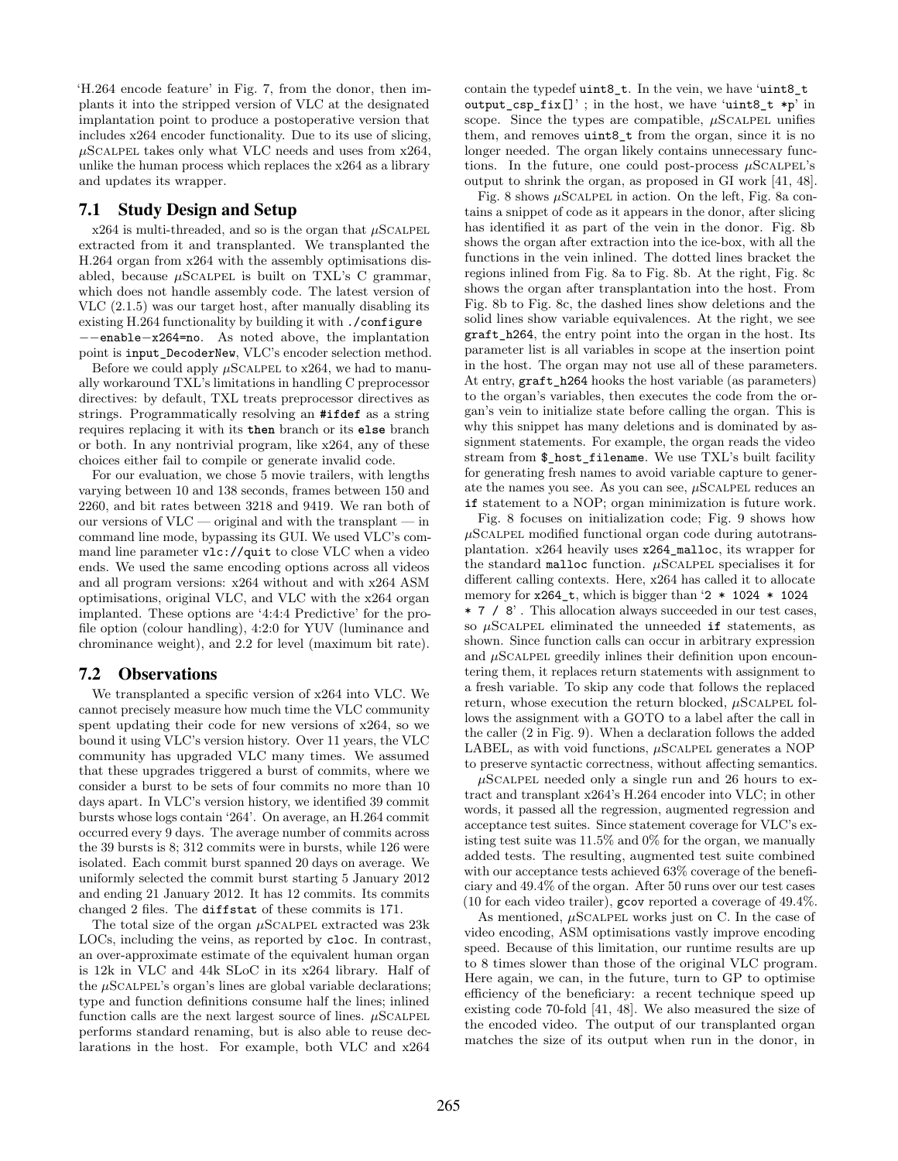'H.264 encode feature' in [Fig. 7,](#page-7-4) from the donor, then implants it into the stripped version of VLC at the designated implantation point to produce a postoperative version that includes x264 encoder functionality. Due to its use of slicing,  $\mu$ SCALPEL takes only what VLC needs and uses from x264, unlike the human process which replaces the x264 as a library and updates its wrapper.

## 7.1 Study Design and Setup

 $x264$  is multi-threaded, and so is the organ that  $\mu$ SCALPEL extracted from it and transplanted. We transplanted the H.264 organ from x264 with the assembly optimisations disabled, because  $\mu$ SCALPEL is built on TXL's C grammar, which does not handle assembly code. The latest version of VLC (2.1.5) was our target host, after manually disabling its existing H.264 functionality by building it with ./configure −−enable−x264=no. As noted above, the implantation point is input\_DecoderNew, VLC's encoder selection method.

Before we could apply  $\mu$ SCALPEL to x264, we had to manually workaround TXL's limitations in handling C preprocessor directives: by default, TXL treats preprocessor directives as strings. Programmatically resolving an **#ifdef** as a string requires replacing it with its **then** branch or its **else** branch or both. In any nontrivial program, like x264, any of these choices either fail to compile or generate invalid code.

For our evaluation, we chose 5 movie trailers, with lengths varying between 10 and 138 seconds, frames between 150 and 2260, and bit rates between 3218 and 9419. We ran both of our versions of VLC — original and with the transplant — in command line mode, bypassing its GUI. We used VLC's command line parameter vlc://quit to close VLC when a video ends. We used the same encoding options across all videos and all program versions: x264 without and with x264 ASM optimisations, original VLC, and VLC with the x264 organ implanted. These options are '4:4:4 Predictive' for the profile option (colour handling), 4:2:0 for YUV (luminance and chrominance weight), and 2.2 for level (maximum bit rate).

#### 7.2 Observations

We transplanted a specific version of x264 into VLC. We cannot precisely measure how much time the VLC community spent updating their code for new versions of x264, so we bound it using VLC's version history. Over 11 years, the VLC community has upgraded VLC many times. We assumed that these upgrades triggered a burst of commits, where we consider a burst to be sets of four commits no more than 10 days apart. In VLC's version history, we identified 39 commit bursts whose logs contain '264'. On average, an H.264 commit occurred every 9 days. The average number of commits across the 39 bursts is 8; 312 commits were in bursts, while 126 were isolated. Each commit burst spanned 20 days on average. We uniformly selected the commit burst starting 5 January 2012 and ending 21 January 2012. It has 12 commits. Its commits changed 2 files. The diffstat of these commits is 171.

The total size of the organ  $\mu$ SCALPEL extracted was 23k LOCs, including the veins, as reported by cloc. In contrast, an over-approximate estimate of the equivalent human organ is 12k in VLC and 44k SLoC in its x264 library. Half of the  $\mu$ SCALPEL's organ's lines are global variable declarations; type and function definitions consume half the lines; inlined function calls are the next largest source of lines.  $\mu$ SCALPEL performs standard renaming, but is also able to reuse declarations in the host. For example, both VLC and x264

contain the typedef uint8\_t. In the vein, we have 'uint8\_t output\_csp\_fix[]' ; in the host, we have 'uint8\_t ∗p' in scope. Since the types are compatible,  $\mu$ SCALPEL unifies them, and removes uint8\_t from the organ, since it is no longer needed. The organ likely contains unnecessary functions. In the future, one could post-process  $\mu$ SCALPEL's output to shrink the organ, as proposed in GI work [\[41,](#page-11-11) [48\]](#page-11-12).

[Fig. 8](#page-9-0) shows  $\mu$ SCALPEL in action. On the left, [Fig. 8a](#page-9-0) contains a snippet of code as it appears in the donor, after slicing has identified it as part of the vein in the donor. [Fig. 8b](#page-9-0) shows the organ after extraction into the ice-box, with all the functions in the vein inlined. The dotted lines bracket the regions inlined from [Fig. 8a](#page-9-0) to [Fig. 8b](#page-9-0). At the right, [Fig. 8c](#page-9-0) shows the organ after transplantation into the host. From [Fig. 8b](#page-9-0) to [Fig. 8c](#page-9-0), the dashed lines show deletions and the solid lines show variable equivalences. At the right, we see graft\_h264, the entry point into the organ in the host. Its parameter list is all variables in scope at the insertion point in the host. The organ may not use all of these parameters. At entry, graft\_h264 hooks the host variable (as parameters) to the organ's variables, then executes the code from the organ's vein to initialize state before calling the organ. This is why this snippet has many deletions and is dominated by assignment statements. For example, the organ reads the video stream from \$\_host\_filename. We use TXL's built facility for generating fresh names to avoid variable capture to generate the names you see. As you can see,  $\mu$ SCALPEL reduces an **if** statement to a NOP; organ minimization is future work.

[Fig. 8](#page-9-0) focuses on initialization code; [Fig. 9](#page-9-0) shows how  $\mu$ SCALPEL modified functional organ code during autotransplantation. x264 heavily uses x264\_malloc, its wrapper for the standard malloc function.  $\mu$ SCALPEL specialises it for different calling contexts. Here, x264 has called it to allocate memory for x264\_t, which is bigger than '2 ∗ 1024 ∗ 1024 ∗ 7 / 8' . This allocation always succeeded in our test cases, so  $\mu$ SCALPEL eliminated the unneeded **if** statements, as shown. Since function calls can occur in arbitrary expression and  $\mu$ SCALPEL greedily inlines their definition upon encountering them, it replaces return statements with assignment to a fresh variable. To skip any code that follows the replaced return, whose execution the return blocked,  $\mu$ SCALPEL follows the assignment with a GOTO to a label after the call in the caller (2 in [Fig. 9\)](#page-9-0). When a declaration follows the added LABEL, as with void functions,  $\mu$ SCALPEL generates a NOP to preserve syntactic correctness, without affecting semantics.

 $\mu$ SCALPEL needed only a single run and 26 hours to extract and transplant x264's H.264 encoder into VLC; in other words, it passed all the regression, augmented regression and acceptance test suites. Since statement coverage for VLC's existing test suite was 11.5% and 0% for the organ, we manually added tests. The resulting, augmented test suite combined with our acceptance tests achieved 63% coverage of the beneficiary and 49.4% of the organ. After 50 runs over our test cases (10 for each video trailer), gcov reported a coverage of 49.4%.

As mentioned,  $\mu$ SCALPEL works just on C. In the case of video encoding, ASM optimisations vastly improve encoding speed. Because of this limitation, our runtime results are up to 8 times slower than those of the original VLC program. Here again, we can, in the future, turn to GP to optimise efficiency of the beneficiary: a recent technique speed up existing code 70-fold [\[41,](#page-11-11) [48\]](#page-11-12). We also measured the size of the encoded video. The output of our transplanted organ matches the size of its output when run in the donor, in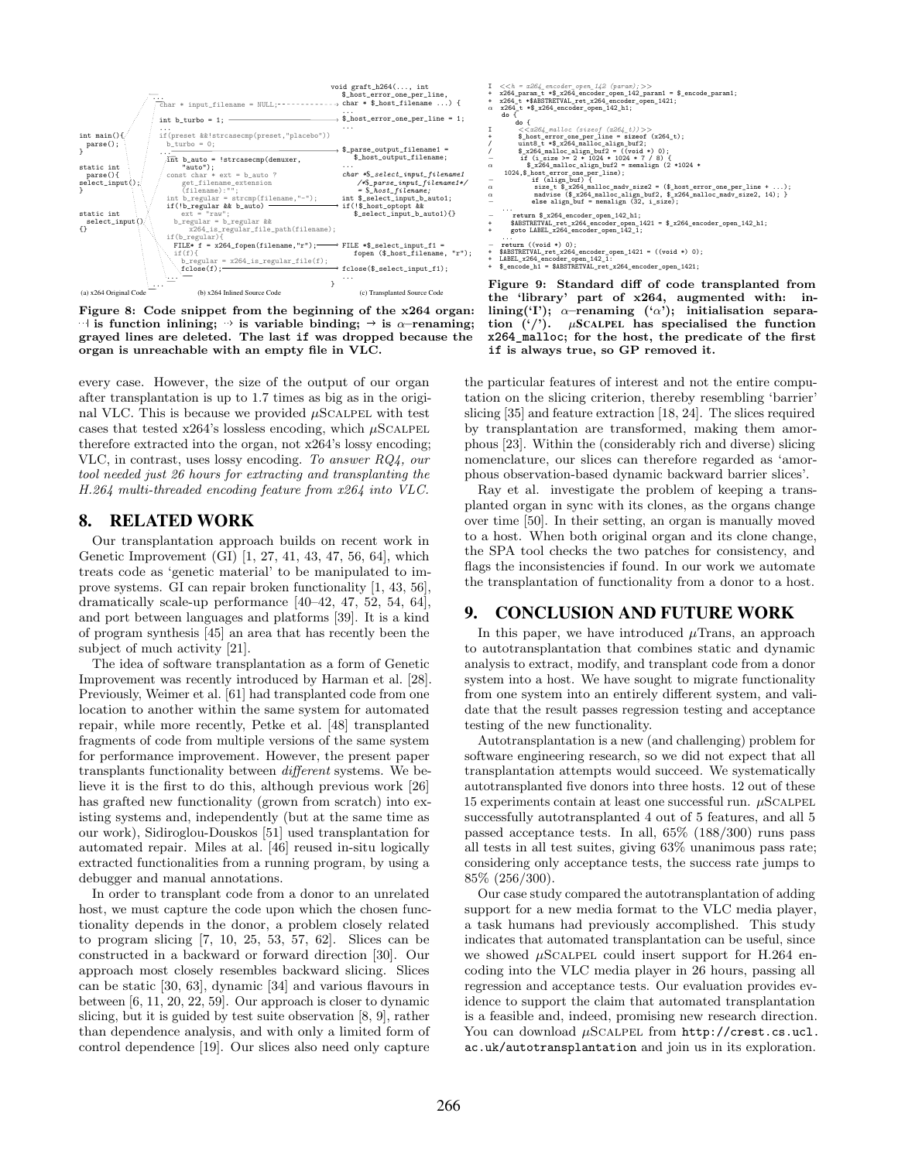<span id="page-9-0"></span>

Figure 8: Code snippet from the beginning of the x264 organ:  $\exists$  is function inlining;  $\rightarrow$  is variable binding;  $\rightarrow$  is  $\alpha$ –renaming; grayed lines are deleted. The last **if** was dropped because the organ is unreachable with an empty file in VLC.

every case. However, the size of the output of our organ after transplantation is up to 1.7 times as big as in the original VLC. This is because we provided  $\mu$ SCALPEL with test cases that tested x264's lossless encoding, which  $\mu$ SCALPEL therefore extracted into the organ, not x264's lossy encoding; VLC, in contrast, uses lossy encoding. To answer RQ4, our tool needed just 26 hours for extracting and transplanting the H.264 multi-threaded encoding feature from x264 into VLC.

### 8. RELATED WORK

Our transplantation approach builds on recent work in Genetic Improvement (GI) [\[1,](#page-10-13) [27,](#page-10-14) [41,](#page-11-11) [43,](#page-11-13) [47,](#page-11-14) [56,](#page-12-3) [64\]](#page-12-4), which treats code as 'genetic material' to be manipulated to improve systems. GI can repair broken functionality [\[1,](#page-10-13) [43,](#page-11-13) [56\]](#page-12-3), dramatically scale-up performance [\[40](#page-11-15)[–42,](#page-11-16) [47,](#page-11-14) [52,](#page-11-17) [54,](#page-12-5) [64\]](#page-12-4), and port between languages and platforms [\[39\]](#page-11-18). It is a kind of program synthesis [\[45\]](#page-11-19) an area that has recently been the subject of much activity [\[21\]](#page-10-15).

The idea of software transplantation as a form of Genetic Improvement was recently introduced by Harman et al. [\[28\]](#page-11-7). Previously, Weimer et al. [\[61\]](#page-12-6) had transplanted code from one location to another within the same system for automated repair, while more recently, Petke et al. [\[48\]](#page-11-12) transplanted fragments of code from multiple versions of the same system for performance improvement. However, the present paper transplants functionality between different systems. We believe it is the first to do this, although previous work [\[26\]](#page-10-16) has grafted new functionality (grown from scratch) into existing systems and, independently (but at the same time as our work), Sidiroglou-Douskos [\[51\]](#page-11-20) used transplantation for automated repair. Miles at al. [\[46\]](#page-11-21) reused in-situ logically extracted functionalities from a running program, by using a debugger and manual annotations.

In order to transplant code from a donor to an unrelated host, we must capture the code upon which the chosen functionality depends in the donor, a problem closely related to program slicing [\[7,](#page-10-17) [10,](#page-10-18) [25,](#page-10-19) [53,](#page-11-22) [57,](#page-12-7) [62\]](#page-12-8). Slices can be constructed in a backward or forward direction [\[30\]](#page-11-4). Our approach most closely resembles backward slicing. Slices can be static [\[30,](#page-11-4) [63\]](#page-12-9), dynamic [\[34\]](#page-11-23) and various flavours in between [\[6,](#page-10-20) [11,](#page-10-21) [20,](#page-10-22) [22,](#page-10-7) [59\]](#page-12-10). Our approach is closer to dynamic slicing, but it is guided by test suite observation [\[8,](#page-10-9) [9\]](#page-10-23), rather than dependence analysis, and with only a limited form of control dependence [\[19\]](#page-10-24). Our slices also need only capture

I <<h = x264\_encoder\_open\_142 (param); >><br>+ x264\_param\_t ∗\$\_x264\_encoder\_open\_142\_param1 = \$\_encode\_param1;<br>+ x264\_t ∗\$ABSTRETVAL\_ret\_x264\_encoder\_open\_1421;<br>α x264\_t ∗\$\_x264\_encoder\_open\_142\_h1; **do** {  $\begin{array}{ll} \text{d} s & \text{d} t & \text{d} s & \text{d} t & \text{d} s & \text{d} s & \text{d} s & \text{d} s & \text{d} s & \text{d} s & \text{d} s & \text{d} s & \text{d} s & \text{d} s & \text{d} s & \text{d} s & \text{d} s & \text{d} s & \text{d} s & \text{d} s & \text{d} s & \text{d} s & \text{d} s & \text{d} s & \text{d} s & \text{d} s & \text{d} s & \text{d} s & \text{d} s & \text{d} s & \text{$ madvise (\$\_x264\_malloc\_align\_buf2, \$\_x264\_malloc\_madv\_size2, 14); }<br> **else** align\_buf = memalign (32, i\_size); ...<br>- **return \$\_x264\_encoder\_open\_142\_h1;**<br>+ \$ABSTRETVAL\_ret\_x264\_encoder\_open\_1421 = \$\_x264\_encoder\_open\_142\_h1; + **goto** LABEL\_x264\_encoder\_open\_142\_1; ... <sup>−</sup> **return** ((**void** ∗) 0); + \$ABSTRETVAL\_ret\_x264\_encoder\_open\_1421 = ((**void** ∗) 0); + \$\_encoder\_open\_042\_1:<br>+ LABEL\_x264\_encoder\_open\_142\_1:<br>+ \$\_encode\_h1 = \$ABSTRETVAL\_ret\_x264\_encoder\_open\_1421; Figure 9: Standard diff of code transplanted from

the 'library' part of x264, augmented with: inlining('I');  $\alpha$ -renaming (' $\alpha$ '); initialisation separation  $('')$ .  $\mu$ SCALPEL has specialised the function **x264\_malloc**; for the host, the predicate of the first **if** is always true, so GP removed it.

the particular features of interest and not the entire computation on the slicing criterion, thereby resembling 'barrier' slicing [\[35\]](#page-11-24) and feature extraction [\[18,](#page-10-25) [24\]](#page-10-8). The slices required by transplantation are transformed, making them amorphous [\[23\]](#page-10-26). Within the (considerably rich and diverse) slicing nomenclature, our slices can therefore regarded as 'amorphous observation-based dynamic backward barrier slices'.

Ray et al. investigate the problem of keeping a transplanted organ in sync with its clones, as the organs change over time [\[50\]](#page-11-25). In their setting, an organ is manually moved to a host. When both original organ and its clone change, the SPA tool checks the two patches for consistency, and flags the inconsistencies if found. In our work we automate the transplantation of functionality from a donor to a host.

## 9. CONCLUSION AND FUTURE WORK

In this paper, we have introduced  $\mu$ Trans, an approach to autotransplantation that combines static and dynamic analysis to extract, modify, and transplant code from a donor system into a host. We have sought to migrate functionality from one system into an entirely different system, and validate that the result passes regression testing and acceptance testing of the new functionality.

Autotransplantation is a new (and challenging) problem for software engineering research, so we did not expect that all transplantation attempts would succeed. We systematically autotransplanted five donors into three hosts. 12 out of these 15 experiments contain at least one successful run.  $\mu$ SCALPEL successfully autotransplanted 4 out of 5 features, and all 5 passed acceptance tests. In all, 65% (188/300) runs pass all tests in all test suites, giving 63% unanimous pass rate; considering only acceptance tests, the success rate jumps to 85% (256/300).

Our case study compared the autotransplantation of adding support for a new media format to the VLC media player, a task humans had previously accomplished. This study indicates that automated transplantation can be useful, since we showed  $\mu$ SCALPEL could insert support for H.264 encoding into the VLC media player in 26 hours, passing all regression and acceptance tests. Our evaluation provides evidence to support the claim that automated transplantation is a feasible and, indeed, promising new research direction. You can download  $\mu$ SCALPEL from [http://crest.cs.ucl.](http://crest.cs.ucl.ac.uk/autotransplantation) [ac.uk/autotransplantation](http://crest.cs.ucl.ac.uk/autotransplantation) and join us in its exploration.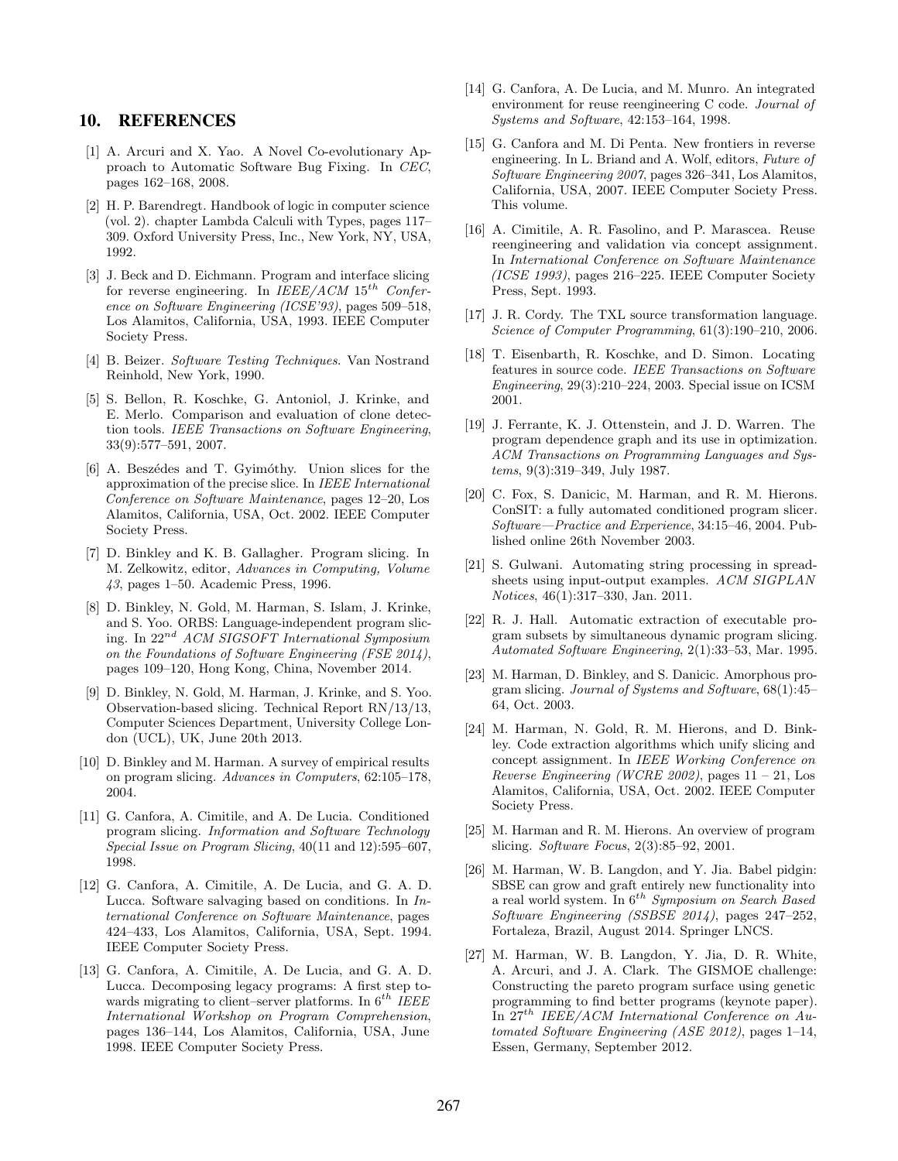### 10. REFERENCES

- <span id="page-10-13"></span>[1] A. Arcuri and X. Yao. A Novel Co-evolutionary Approach to Automatic Software Bug Fixing. In CEC, pages 162–168, 2008.
- <span id="page-10-10"></span>[2] H. P. Barendregt. Handbook of logic in computer science (vol. 2). chapter Lambda Calculi with Types, pages 117– 309. Oxford University Press, Inc., New York, NY, USA, 1992.
- <span id="page-10-6"></span>[3] J. Beck and D. Eichmann. Program and interface slicing for reverse engineering. In  $IEEE/ACM 15^{th}$  Conference on Software Engineering (ICSE'93), pages 509–518, Los Alamitos, California, USA, 1993. IEEE Computer Society Press.
- <span id="page-10-11"></span>[4] B. Beizer. Software Testing Techniques. Van Nostrand Reinhold, New York, 1990.
- <span id="page-10-1"></span>[5] S. Bellon, R. Koschke, G. Antoniol, J. Krinke, and E. Merlo. Comparison and evaluation of clone detection tools. IEEE Transactions on Software Engineering, 33(9):577–591, 2007.
- <span id="page-10-20"></span>[6] A. Beszédes and T. Gyimóthy. Union slices for the approximation of the precise slice. In IEEE International Conference on Software Maintenance, pages 12–20, Los Alamitos, California, USA, Oct. 2002. IEEE Computer Society Press.
- <span id="page-10-17"></span>[7] D. Binkley and K. B. Gallagher. Program slicing. In M. Zelkowitz, editor, Advances in Computing, Volume 43, pages 1–50. Academic Press, 1996.
- <span id="page-10-9"></span>[8] D. Binkley, N. Gold, M. Harman, S. Islam, J. Krinke, and S. Yoo. ORBS: Language-independent program slicing. In 22nd ACM SIGSOFT International Symposium on the Foundations of Software Engineering (FSE 2014), pages 109–120, Hong Kong, China, November 2014.
- <span id="page-10-23"></span>[9] D. Binkley, N. Gold, M. Harman, J. Krinke, and S. Yoo. Observation-based slicing. Technical Report RN/13/13, Computer Sciences Department, University College London (UCL), UK, June 20th 2013.
- <span id="page-10-18"></span>[10] D. Binkley and M. Harman. A survey of empirical results on program slicing. Advances in Computers, 62:105–178, 2004.
- <span id="page-10-21"></span>[11] G. Canfora, A. Cimitile, and A. De Lucia. Conditioned program slicing. Information and Software Technology Special Issue on Program Slicing, 40(11 and 12):595–607, 1998.
- <span id="page-10-2"></span>[12] G. Canfora, A. Cimitile, A. De Lucia, and G. A. D. Lucca. Software salvaging based on conditions. In International Conference on Software Maintenance, pages 424–433, Los Alamitos, California, USA, Sept. 1994. IEEE Computer Society Press.
- <span id="page-10-3"></span>[13] G. Canfora, A. Cimitile, A. De Lucia, and G. A. D. Lucca. Decomposing legacy programs: A first step towards migrating to client–server platforms. In  $6^{th}$  IEEE International Workshop on Program Comprehension, pages 136–144, Los Alamitos, California, USA, June 1998. IEEE Computer Society Press.
- <span id="page-10-4"></span>[14] G. Canfora, A. De Lucia, and M. Munro. An integrated environment for reuse reengineering C code. Journal of Systems and Software, 42:153–164, 1998.
- <span id="page-10-0"></span>[15] G. Canfora and M. Di Penta. New frontiers in reverse engineering. In L. Briand and A. Wolf, editors, Future of Software Engineering 2007, pages 326–341, Los Alamitos, California, USA, 2007. IEEE Computer Society Press. This volume.
- <span id="page-10-5"></span>[16] A. Cimitile, A. R. Fasolino, and P. Marascea. Reuse reengineering and validation via concept assignment. In International Conference on Software Maintenance (ICSE 1993), pages 216–225. IEEE Computer Society Press, Sept. 1993.
- <span id="page-10-12"></span>[17] J. R. Cordy. The TXL source transformation language. Science of Computer Programming, 61(3):190–210, 2006.
- <span id="page-10-25"></span>[18] T. Eisenbarth, R. Koschke, and D. Simon. Locating features in source code. IEEE Transactions on Software Engineering, 29(3):210–224, 2003. Special issue on ICSM 2001.
- <span id="page-10-24"></span>[19] J. Ferrante, K. J. Ottenstein, and J. D. Warren. The program dependence graph and its use in optimization. ACM Transactions on Programming Languages and Systems, 9(3):319–349, July 1987.
- <span id="page-10-22"></span>[20] C. Fox, S. Danicic, M. Harman, and R. M. Hierons. ConSIT: a fully automated conditioned program slicer. Software—Practice and Experience, 34:15–46, 2004. Published online 26th November 2003.
- <span id="page-10-15"></span>[21] S. Gulwani. Automating string processing in spreadsheets using input-output examples. ACM SIGPLAN Notices, 46(1):317–330, Jan. 2011.
- <span id="page-10-7"></span>[22] R. J. Hall. Automatic extraction of executable program subsets by simultaneous dynamic program slicing. Automated Software Engineering, 2(1):33–53, Mar. 1995.
- <span id="page-10-26"></span>[23] M. Harman, D. Binkley, and S. Danicic. Amorphous program slicing. Journal of Systems and Software, 68(1):45– 64, Oct. 2003.
- <span id="page-10-8"></span>[24] M. Harman, N. Gold, R. M. Hierons, and D. Binkley. Code extraction algorithms which unify slicing and concept assignment. In IEEE Working Conference on Reverse Engineering (WCRE 2002), pages  $11 - 21$ , Los Alamitos, California, USA, Oct. 2002. IEEE Computer Society Press.
- <span id="page-10-19"></span>[25] M. Harman and R. M. Hierons. An overview of program slicing. Software Focus, 2(3):85–92, 2001.
- <span id="page-10-16"></span>[26] M. Harman, W. B. Langdon, and Y. Jia. Babel pidgin: SBSE can grow and graft entirely new functionality into a real world system. In  $6^{th}$  Symposium on Search Based Software Engineering (SSBSE 2014), pages 247–252, Fortaleza, Brazil, August 2014. Springer LNCS.
- <span id="page-10-14"></span>[27] M. Harman, W. B. Langdon, Y. Jia, D. R. White, A. Arcuri, and J. A. Clark. The GISMOE challenge: Constructing the pareto program surface using genetic programming to find better programs (keynote paper). In  $27<sup>th</sup> IEEE/ACM International Conference on Au$ tomated Software Engineering (ASE 2012), pages 1–14, Essen, Germany, September 2012.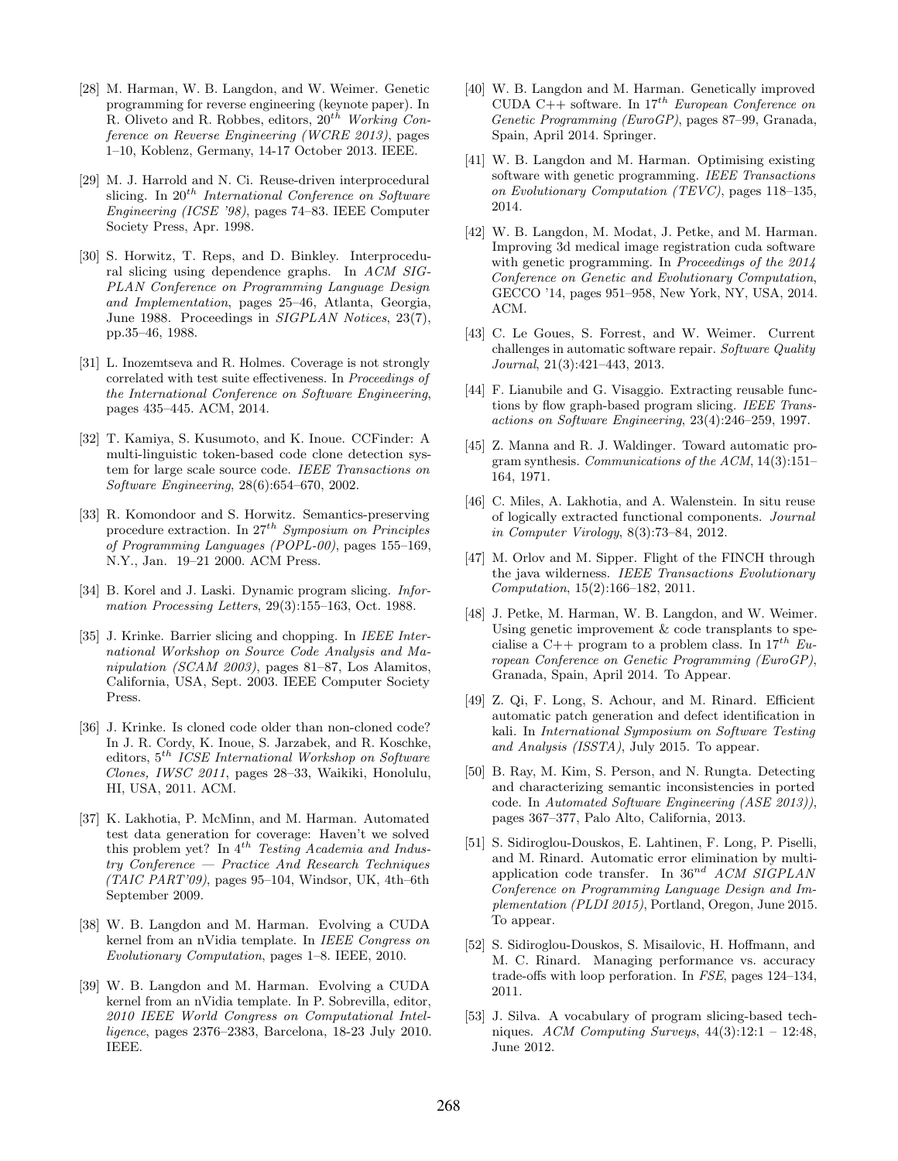- <span id="page-11-7"></span>[28] M. Harman, W. B. Langdon, and W. Weimer. Genetic programming for reverse engineering (keynote paper). In R. Oliveto and R. Robbes, editors,  $20^{th}$  Working Conference on Reverse Engineering (WCRE 2013), pages 1–10, Koblenz, Germany, 14-17 October 2013. IEEE.
- <span id="page-11-3"></span>[29] M. J. Harrold and N. Ci. Reuse-driven interprocedural slicing. In  $20^{th}$  International Conference on Software Engineering (ICSE '98), pages 74–83. IEEE Computer Society Press, Apr. 1998.
- <span id="page-11-4"></span>[30] S. Horwitz, T. Reps, and D. Binkley. Interprocedural slicing using dependence graphs. In ACM SIG-PLAN Conference on Programming Language Design and Implementation, pages 25–46, Atlanta, Georgia, June 1988. Proceedings in SIGPLAN Notices, 23(7), pp.35–46, 1988.
- <span id="page-11-10"></span>[31] L. Inozemtseva and R. Holmes. Coverage is not strongly correlated with test suite effectiveness. In Proceedings of the International Conference on Software Engineering, pages 435–445. ACM, 2014.
- <span id="page-11-0"></span>[32] T. Kamiya, S. Kusumoto, and K. Inoue. CCFinder: A multi-linguistic token-based code clone detection system for large scale source code. IEEE Transactions on Software Engineering, 28(6):654–670, 2002.
- <span id="page-11-5"></span>[33] R. Komondoor and S. Horwitz. Semantics-preserving procedure extraction. In  $27^{th}$  Symposium on Principles of Programming Languages (POPL-00), pages 155–169, N.Y., Jan. 19–21 2000. ACM Press.
- <span id="page-11-23"></span>[34] B. Korel and J. Laski. Dynamic program slicing. *Infor*mation Processing Letters, 29(3):155–163, Oct. 1988.
- <span id="page-11-24"></span>[35] J. Krinke. Barrier slicing and chopping. In *IEEE Inter*national Workshop on Source Code Analysis and Manipulation (SCAM 2003), pages 81–87, Los Alamitos, California, USA, Sept. 2003. IEEE Computer Society Press.
- <span id="page-11-1"></span>[36] J. Krinke. Is cloned code older than non-cloned code? In J. R. Cordy, K. Inoue, S. Jarzabek, and R. Koschke, editors,  $5^{th}\$  ICSE International Workshop on Software Clones, IWSC 2011, pages 28–33, Waikiki, Honolulu, HI, USA, 2011. ACM.
- <span id="page-11-9"></span>[37] K. Lakhotia, P. McMinn, and M. Harman. Automated test data generation for coverage: Haven't we solved this problem yet? In  $4^{th}$  Testing Academia and Industry Conference — Practice And Research Techniques  $(TAIC \, PART'09)$ , pages 95–104, Windsor, UK, 4th–6th September 2009.
- <span id="page-11-2"></span>[38] W. B. Langdon and M. Harman. Evolving a CUDA kernel from an nVidia template. In IEEE Congress on Evolutionary Computation, pages 1–8. IEEE, 2010.
- <span id="page-11-18"></span>[39] W. B. Langdon and M. Harman. Evolving a CUDA kernel from an nVidia template. In P. Sobrevilla, editor, 2010 IEEE World Congress on Computational Intelligence, pages 2376–2383, Barcelona, 18-23 July 2010. IEEE.
- <span id="page-11-15"></span>[40] W. B. Langdon and M. Harman. Genetically improved CUDA C++ software. In  $17^{th}$  European Conference on Genetic Programming (EuroGP), pages 87–99, Granada, Spain, April 2014. Springer.
- <span id="page-11-11"></span>[41] W. B. Langdon and M. Harman. Optimising existing software with genetic programming. IEEE Transactions on Evolutionary Computation (TEVC), pages 118–135, 2014.
- <span id="page-11-16"></span>[42] W. B. Langdon, M. Modat, J. Petke, and M. Harman. Improving 3d medical image registration cuda software with genetic programming. In Proceedings of the 2014 Conference on Genetic and Evolutionary Computation, GECCO '14, pages 951–958, New York, NY, USA, 2014. ACM.
- <span id="page-11-13"></span>[43] C. Le Goues, S. Forrest, and W. Weimer. Current challenges in automatic software repair. Software Quality Journal, 21(3):421–443, 2013.
- <span id="page-11-6"></span>[44] F. Lianubile and G. Visaggio. Extracting reusable functions by flow graph-based program slicing. IEEE Transactions on Software Engineering, 23(4):246–259, 1997.
- <span id="page-11-19"></span>[45] Z. Manna and R. J. Waldinger. Toward automatic program synthesis. Communications of the ACM, 14(3):151– 164, 1971.
- <span id="page-11-21"></span>[46] C. Miles, A. Lakhotia, and A. Walenstein. In situ reuse of logically extracted functional components. Journal in Computer Virology, 8(3):73–84, 2012.
- <span id="page-11-14"></span>[47] M. Orlov and M. Sipper. Flight of the FINCH through the java wilderness. IEEE Transactions Evolutionary Computation, 15(2):166–182, 2011.
- <span id="page-11-12"></span>[48] J. Petke, M. Harman, W. B. Langdon, and W. Weimer. Using genetic improvement & code transplants to specialise a C++ program to a problem class. In  $17^{th}$  European Conference on Genetic Programming (EuroGP), Granada, Spain, April 2014. To Appear.
- <span id="page-11-8"></span>[49] Z. Qi, F. Long, S. Achour, and M. Rinard. Efficient automatic patch generation and defect identification in kali. In International Symposium on Software Testing and Analysis (ISSTA), July 2015. To appear.
- <span id="page-11-25"></span>[50] B. Ray, M. Kim, S. Person, and N. Rungta. Detecting and characterizing semantic inconsistencies in ported code. In Automated Software Engineering (ASE 2013)), pages 367–377, Palo Alto, California, 2013.
- <span id="page-11-20"></span>[51] S. Sidiroglou-Douskos, E. Lahtinen, F. Long, P. Piselli, and M. Rinard. Automatic error elimination by multiapplication code transfer. In  $36^{nd}$  ACM SIGPLAN Conference on Programming Language Design and Implementation (PLDI 2015), Portland, Oregon, June 2015. To appear.
- <span id="page-11-17"></span>[52] S. Sidiroglou-Douskos, S. Misailovic, H. Hoffmann, and M. C. Rinard. Managing performance vs. accuracy trade-offs with loop perforation. In FSE, pages 124–134, 2011.
- <span id="page-11-22"></span>[53] J. Silva. A vocabulary of program slicing-based techniques. ACM Computing Surveys,  $44(3):12:1 - 12:48$ , June 2012.